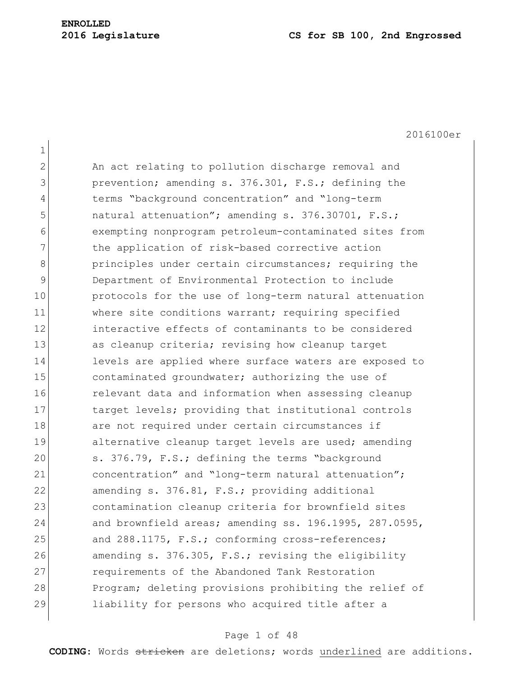| $\mathbf 1$ |                                                        |
|-------------|--------------------------------------------------------|
| 2           | An act relating to pollution discharge removal and     |
| 3           | prevention; amending s. 376.301, F.S.; defining the    |
| 4           | terms "background concentration" and "long-term        |
| 5           | natural attenuation"; amending s. 376.30701, F.S.;     |
| 6           | exempting nonprogram petroleum-contaminated sites from |
| 7           | the application of risk-based corrective action        |
| 8           | principles under certain circumstances; requiring the  |
| 9           | Department of Environmental Protection to include      |
| 10          | protocols for the use of long-term natural attenuation |
| 11          | where site conditions warrant; requiring specified     |
| 12          | interactive effects of contaminants to be considered   |
| 13          | as cleanup criteria; revising how cleanup target       |
| 14          | levels are applied where surface waters are exposed to |
| 15          | contaminated groundwater; authorizing the use of       |
| 16          | relevant data and information when assessing cleanup   |
| 17          | target levels; providing that institutional controls   |
| 18          | are not required under certain circumstances if        |
| 19          | alternative cleanup target levels are used; amending   |
| 20          | s. 376.79, F.S.; defining the terms "background        |
| 21          | concentration" and "long-term natural attenuation";    |
| 22          | amending s. 376.81, F.S.; providing additional         |
| 23          | contamination cleanup criteria for brownfield sites    |
| 24          | and brownfield areas; amending ss. 196.1995, 287.0595, |
| 25          | and 288.1175, F.S.; conforming cross-references;       |
| 26          | amending s. 376.305, F.S.; revising the eligibility    |
| 27          | requirements of the Abandoned Tank Restoration         |
| 28          | Program; deleting provisions prohibiting the relief of |
| 29          | liability for persons who acquired title after a       |

# Page 1 of 48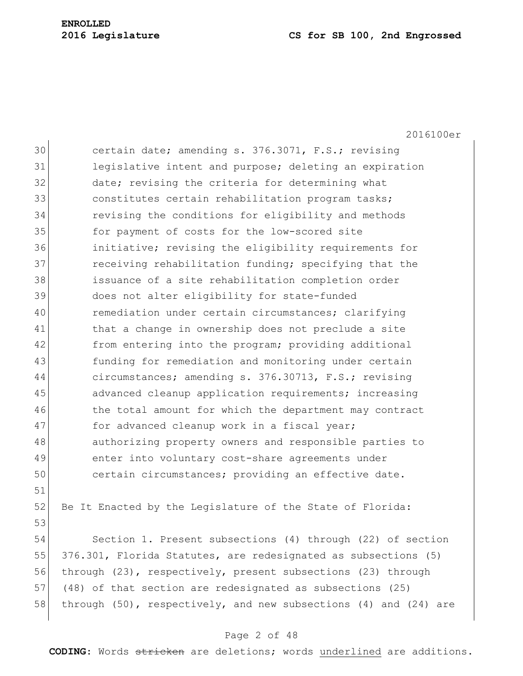2016100er 30 certain date; amending s. 376.3071, F.S.; revising 31 legislative intent and purpose; deleting an expiration 32 date; revising the criteria for determining what 33 31 constitutes certain rehabilitation program tasks; 34 revising the conditions for eligibility and methods 35 for payment of costs for the low-scored site 36 initiative; revising the eligibility requirements for 37 **receiving rehabilitation funding;** specifying that the 38 issuance of a site rehabilitation completion order 39 does not alter eligibility for state-funded 40 remediation under certain circumstances; clarifying 41 bhat a change in ownership does not preclude a site 42 from entering into the program; providing additional 43 funding for remediation and monitoring under certain 44 circumstances; amending s. 376.30713, F.S.; revising 45 advanced cleanup application requirements; increasing 46 the total amount for which the department may contract 47 for advanced cleanup work in a fiscal year; 48 authorizing property owners and responsible parties to 49 enter into voluntary cost-share agreements under 50 certain circumstances; providing an effective date. 51 52 Be It Enacted by the Legislature of the State of Florida: 53 54 Section 1. Present subsections (4) through (22) of section 55 376.301, Florida Statutes, are redesignated as subsections (5) 56 through (23), respectively, present subsections (23) through 57 (48) of that section are redesignated as subsections (25) 58 through (50), respectively, and new subsections (4) and (24) are

## Page 2 of 48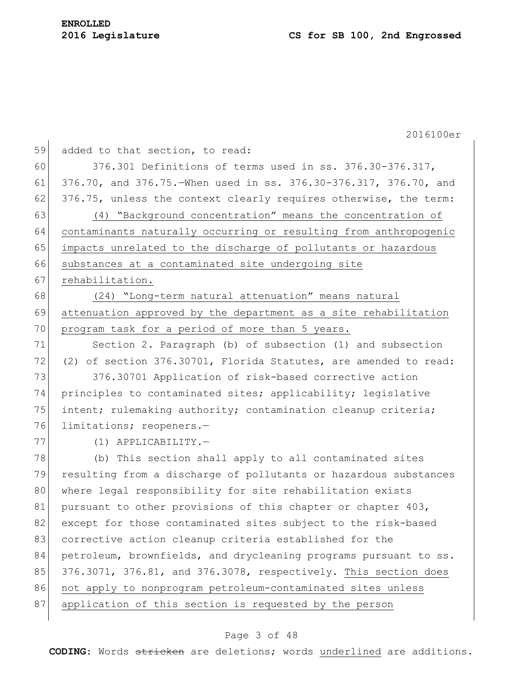2016100er 59 added to that section, to read: 60 376.301 Definitions of terms used in ss. 376.30-376.317, 61 376.70, and 376.75.—When used in ss. 376.30-376.317, 376.70, and  $62$  376.75, unless the context clearly requires otherwise, the term: 63 (4) "Background concentration" means the concentration of 64 contaminants naturally occurring or resulting from anthropogenic 65 impacts unrelated to the discharge of pollutants or hazardous 66 substances at a contaminated site undergoing site 67 rehabilitation. 68 (24) "Long-term natural attenuation" means natural 69 attenuation approved by the department as a site rehabilitation 70 program task for a period of more than 5 years. 71 Section 2. Paragraph (b) of subsection (1) and subsection 72 (2) of section 376.30701, Florida Statutes, are amended to read: 73 376.30701 Application of risk-based corrective action 74 principles to contaminated sites; applicability; legislative 75 intent; rulemaking authority; contamination cleanup criteria; 76 limitations; reopeners.— 77 (1) APPLICABILITY. 78 (b) This section shall apply to all contaminated sites 79 resulting from a discharge of pollutants or hazardous substances 80 where legal responsibility for site rehabilitation exists 81 pursuant to other provisions of this chapter or chapter 403, 82 except for those contaminated sites subject to the risk-based 83 corrective action cleanup criteria established for the 84 petroleum, brownfields, and drycleaning programs pursuant to ss. 85 376.3071, 376.81, and 376.3078, respectively. This section does 86 not apply to nonprogram petroleum-contaminated sites unless 87 application of this section is requested by the person

## Page 3 of 48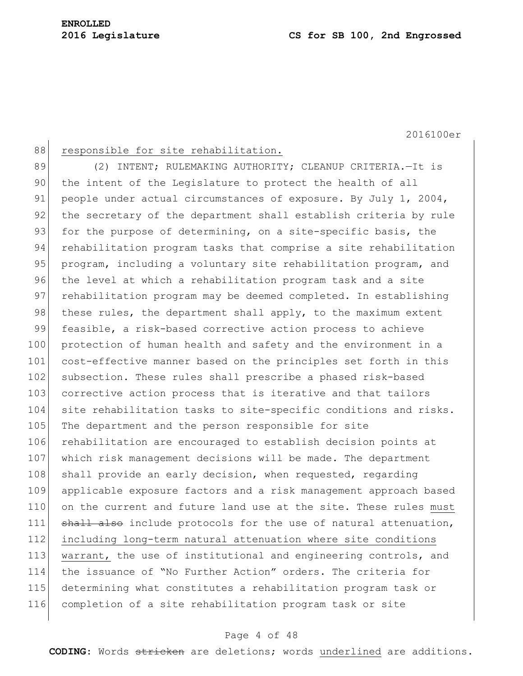| 88  | responsible for site rehabilitation.                             |
|-----|------------------------------------------------------------------|
| 89  | (2) INTENT; RULEMAKING AUTHORITY; CLEANUP CRITERIA.-It is        |
| 90  | the intent of the Legislature to protect the health of all       |
| 91  | people under actual circumstances of exposure. By July 1, 2004,  |
| 92  | the secretary of the department shall establish criteria by rule |
| 93  | for the purpose of determining, on a site-specific basis, the    |
| 94  | rehabilitation program tasks that comprise a site rehabilitation |
| 95  | program, including a voluntary site rehabilitation program, and  |
| 96  | the level at which a rehabilitation program task and a site      |
| 97  | rehabilitation program may be deemed completed. In establishing  |
| 98  | these rules, the department shall apply, to the maximum extent   |
| 99  | feasible, a risk-based corrective action process to achieve      |
| 100 | protection of human health and safety and the environment in a   |
| 101 | cost-effective manner based on the principles set forth in this  |
| 102 | subsection. These rules shall prescribe a phased risk-based      |
| 103 | corrective action process that is iterative and that tailors     |
| 104 | site rehabilitation tasks to site-specific conditions and risks. |
| 105 | The department and the person responsible for site               |
| 106 | rehabilitation are encouraged to establish decision points at    |
| 107 | which risk management decisions will be made. The department     |
| 108 | shall provide an early decision, when requested, regarding       |
| 109 | applicable exposure factors and a risk management approach based |
| 110 | on the current and future land use at the site. These rules must |
| 111 | shall also include protocols for the use of natural attenuation, |
| 112 | including long-term natural attenuation where site conditions    |
| 113 | warrant, the use of institutional and engineering controls, and  |
| 114 | the issuance of "No Further Action" orders. The criteria for     |
| 115 | determining what constitutes a rehabilitation program task or    |
| 116 | completion of a site rehabilitation program task or site         |
|     |                                                                  |

## Page 4 of 48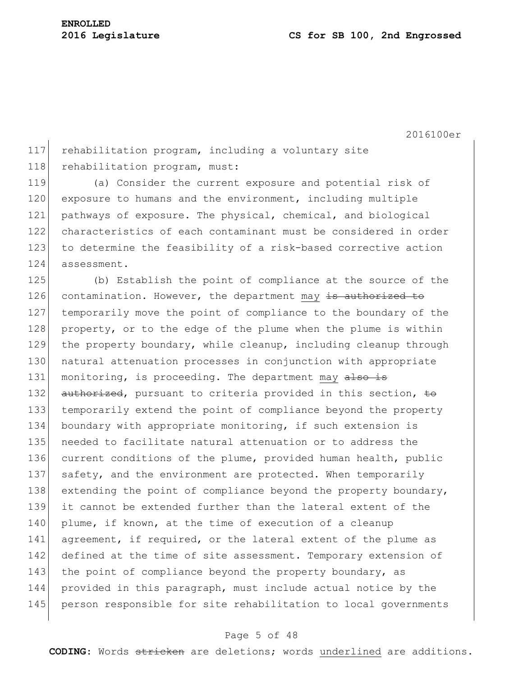117 rehabilitation program, including a voluntary site 118 rehabilitation program, must:

 (a) Consider the current exposure and potential risk of 120 exposure to humans and the environment, including multiple pathways of exposure. The physical, chemical, and biological characteristics of each contaminant must be considered in order to determine the feasibility of a risk-based corrective action assessment.

125 (b) Establish the point of compliance at the source of the 126 contamination. However, the department may is authorized to 127 temporarily move the point of compliance to the boundary of the 128 property, or to the edge of the plume when the plume is within 129 the property boundary, while cleanup, including cleanup through 130 natural attenuation processes in conjunction with appropriate 131 monitoring, is proceeding. The department may also is 132 authorized, pursuant to criteria provided in this section, to 133 temporarily extend the point of compliance beyond the property 134 boundary with appropriate monitoring, if such extension is 135 needed to facilitate natural attenuation or to address the 136 current conditions of the plume, provided human health, public 137 safety, and the environment are protected. When temporarily 138 extending the point of compliance beyond the property boundary, 139 it cannot be extended further than the lateral extent of the 140 plume, if known, at the time of execution of a cleanup 141 agreement, if required, or the lateral extent of the plume as 142 defined at the time of site assessment. Temporary extension of 143 the point of compliance beyond the property boundary, as 144 provided in this paragraph, must include actual notice by the 145 person responsible for site rehabilitation to local governments

## Page 5 of 48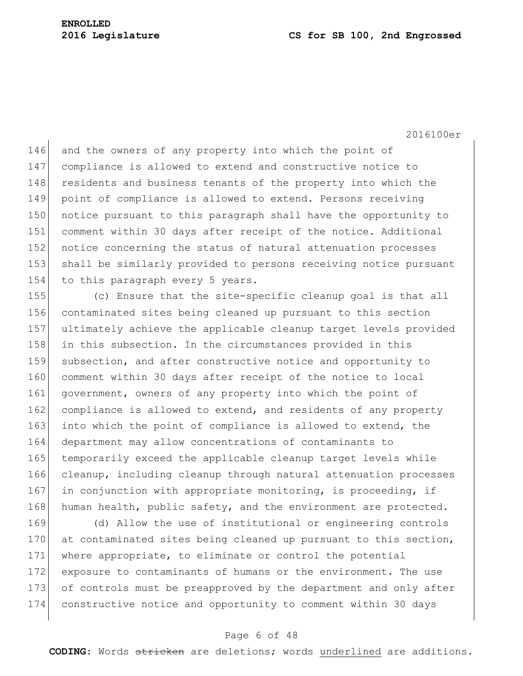2016100er

146 and the owners of any property into which the point of 147 compliance is allowed to extend and constructive notice to 148 residents and business tenants of the property into which the 149 point of compliance is allowed to extend. Persons receiving 150 notice pursuant to this paragraph shall have the opportunity to 151 comment within 30 days after receipt of the notice. Additional 152 notice concerning the status of natural attenuation processes 153 shall be similarly provided to persons receiving notice pursuant 154 to this paragraph every 5 years.

155 (c) Ensure that the site-specific cleanup goal is that all 156 contaminated sites being cleaned up pursuant to this section 157 ultimately achieve the applicable cleanup target levels provided 158 in this subsection. In the circumstances provided in this 159 subsection, and after constructive notice and opportunity to 160 comment within 30 days after receipt of the notice to local 161 government, owners of any property into which the point of 162 compliance is allowed to extend, and residents of any property 163 into which the point of compliance is allowed to extend, the 164 department may allow concentrations of contaminants to 165 temporarily exceed the applicable cleanup target levels while 166 cleanup, including cleanup through natural attenuation processes 167 in conjunction with appropriate monitoring, is proceeding, if 168 human health, public safety, and the environment are protected.

 (d) Allow the use of institutional or engineering controls 170 at contaminated sites being cleaned up pursuant to this section, where appropriate, to eliminate or control the potential exposure to contaminants of humans or the environment. The use of controls must be preapproved by the department and only after constructive notice and opportunity to comment within 30 days

## Page 6 of 48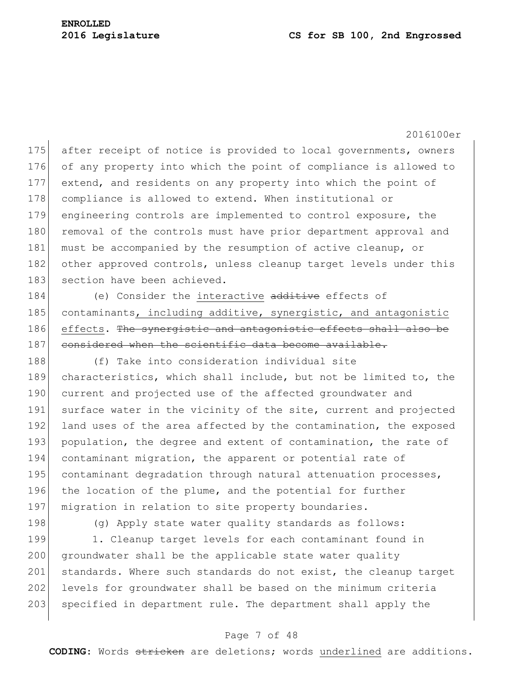2016100er

175 after receipt of notice is provided to local governments, owners 176 of any property into which the point of compliance is allowed to 177 extend, and residents on any property into which the point of 178 compliance is allowed to extend. When institutional or 179 engineering controls are implemented to control exposure, the 180 removal of the controls must have prior department approval and 181 must be accompanied by the resumption of active cleanup, or 182 other approved controls, unless cleanup target levels under this 183 section have been achieved.

184 (e) Consider the interactive additive effects of 185 contaminants, including additive, synergistic, and antagonistic 186 effects. The synergistic and antagonistic effects shall also be 187 considered when the scientific data become available.

188 (f) Take into consideration individual site 189 characteristics, which shall include, but not be limited to, the 190 current and projected use of the affected groundwater and 191 surface water in the vicinity of the site, current and projected 192 land uses of the area affected by the contamination, the exposed 193 population, the degree and extent of contamination, the rate of 194 contaminant migration, the apparent or potential rate of 195 contaminant degradation through natural attenuation processes, 196 the location of the plume, and the potential for further 197 migration in relation to site property boundaries.

198 (g) Apply state water quality standards as follows:

199 1. Cleanup target levels for each contaminant found in 200 groundwater shall be the applicable state water quality 201 standards. Where such standards do not exist, the cleanup target 202 levels for groundwater shall be based on the minimum criteria 203 specified in department rule. The department shall apply the

## Page 7 of 48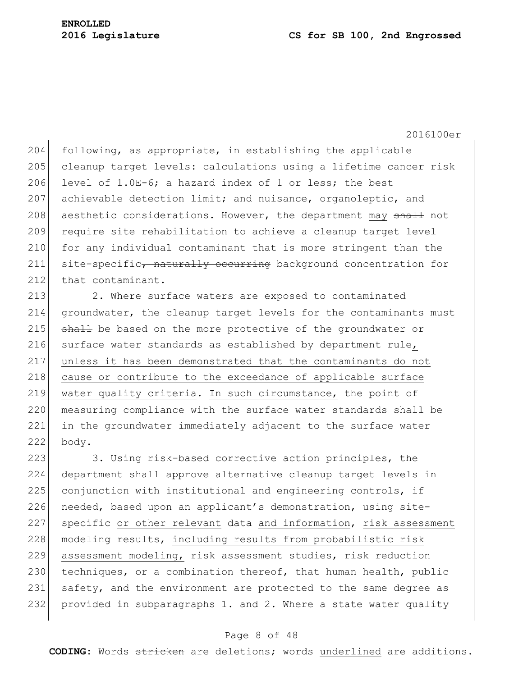2016100er

204 following, as appropriate, in establishing the applicable 205 cleanup target levels: calculations using a lifetime cancer risk 206 level of  $1.0E-6$ ; a hazard index of 1 or less; the best 207 achievable detection limit; and nuisance, organoleptic, and 208 aesthetic considerations. However, the department may shall not 209 require site rehabilitation to achieve a cleanup target level 210 for any individual contaminant that is more stringent than the 211 site-specific, naturally occurring background concentration for 212 that contaminant.

213 2. Where surface waters are exposed to contaminated 214 groundwater, the cleanup target levels for the contaminants must 215 shall be based on the more protective of the groundwater or 216 surface water standards as established by department rule, 217 unless it has been demonstrated that the contaminants do not 218 cause or contribute to the exceedance of applicable surface 219 water quality criteria. In such circumstance, the point of 220 measuring compliance with the surface water standards shall be 221 in the groundwater immediately adjacent to the surface water 222 body.

223 3. Using risk-based corrective action principles, the 224 department shall approve alternative cleanup target levels in 225 conjunction with institutional and engineering controls, if 226 needed, based upon an applicant's demonstration, using site-227 specific or other relevant data and information, risk assessment 228 | modeling results, including results from probabilistic risk 229 assessment modeling, risk assessment studies, risk reduction 230 techniques, or a combination thereof, that human health, public 231 safety, and the environment are protected to the same degree as 232 provided in subparagraphs 1. and 2. Where a state water quality

## Page 8 of 48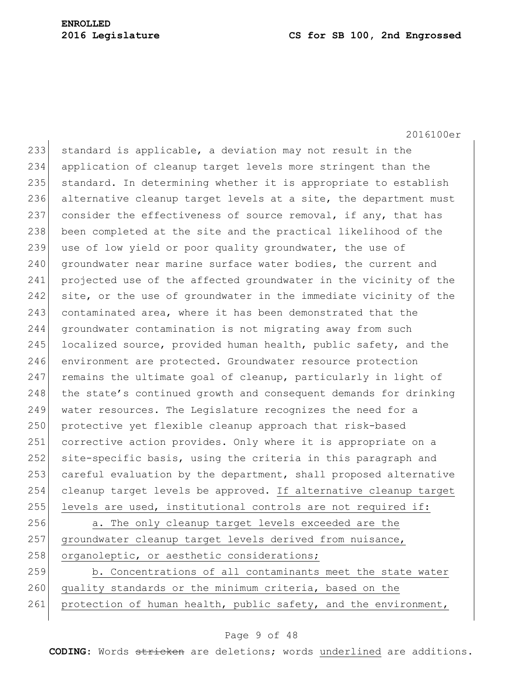2016100er

233 standard is applicable, a deviation may not result in the 234 application of cleanup target levels more stringent than the 235 standard. In determining whether it is appropriate to establish 236 alternative cleanup target levels at a site, the department must 237 consider the effectiveness of source removal, if any, that has 238 been completed at the site and the practical likelihood of the 239 use of low yield or poor quality groundwater, the use of 240 groundwater near marine surface water bodies, the current and 241 projected use of the affected groundwater in the vicinity of the 242 site, or the use of groundwater in the immediate vicinity of the 243 contaminated area, where it has been demonstrated that the 244 groundwater contamination is not migrating away from such 245 localized source, provided human health, public safety, and the 246 environment are protected. Groundwater resource protection  $247$  remains the ultimate goal of cleanup, particularly in light of 248 the state's continued growth and consequent demands for drinking 249 water resources. The Legislature recognizes the need for a 250 protective yet flexible cleanup approach that risk-based 251 corrective action provides. Only where it is appropriate on a 252 site-specific basis, using the criteria in this paragraph and 253 careful evaluation by the department, shall proposed alternative 254 cleanup target levels be approved. If alternative cleanup target 255 levels are used, institutional controls are not required if: 256 a. The only cleanup target levels exceeded are the 257 groundwater cleanup target levels derived from nuisance, 258 organoleptic, or aesthetic considerations; 259 b. Concentrations of all contaminants meet the state water 260 quality standards or the minimum criteria, based on the

# 261 protection of human health, public safety, and the environment,

## Page 9 of 48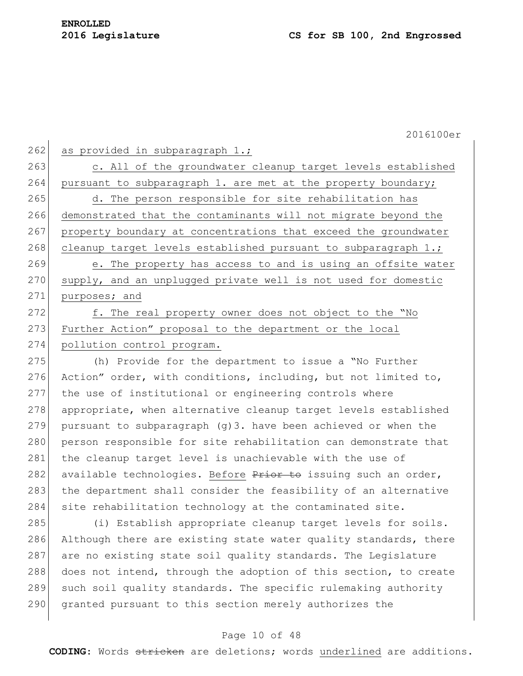262 as provided in subparagraph  $1$ .; 263 c. All of the groundwater cleanup target levels established 264 pursuant to subparagraph 1. are met at the property boundary; 265 d. The person responsible for site rehabilitation has 266 demonstrated that the contaminants will not migrate beyond the 267 property boundary at concentrations that exceed the groundwater 268 cleanup target levels established pursuant to subparagraph  $1.$ ; 269 e. The property has access to and is using an offsite water 270 supply, and an unplugged private well is not used for domestic 271 purposes; and 272 f. The real property owner does not object to the "No 273 Further Action" proposal to the department or the local 274 pollution control program. 275 (h) Provide for the department to issue a "No Further 276 Action" order, with conditions, including, but not limited to, 277 the use of institutional or engineering controls where 278 appropriate, when alternative cleanup target levels established 279 pursuant to subparagraph  $(q)$ 3. have been achieved or when the

280 person responsible for site rehabilitation can demonstrate that 281 the cleanup target level is unachievable with the use of 282 available technologies. Before Prior to issuing such an order, 283 the department shall consider the feasibility of an alternative 284 site rehabilitation technology at the contaminated site.

285 (i) Establish appropriate cleanup target levels for soils. 286 Although there are existing state water quality standards, there 287 are no existing state soil quality standards. The Legislature 288 does not intend, through the adoption of this section, to create 289 such soil quality standards. The specific rulemaking authority 290 granted pursuant to this section merely authorizes the

## Page 10 of 48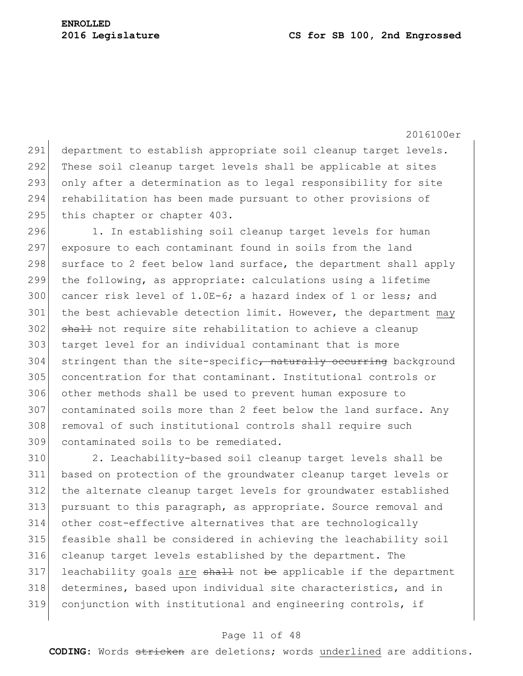2016100er 291 department to establish appropriate soil cleanup target levels. 292 These soil cleanup target levels shall be applicable at sites 293 only after a determination as to legal responsibility for site 294 rehabilitation has been made pursuant to other provisions of 295 this chapter or chapter 403.

296 1. In establishing soil cleanup target levels for human 297 exposure to each contaminant found in soils from the land 298 surface to 2 feet below land surface, the department shall apply 299 the following, as appropriate: calculations using a lifetime 300 cancer risk level of 1.0E-6; a hazard index of 1 or less; and 301 the best achievable detection limit. However, the department may 302 shall not require site rehabilitation to achieve a cleanup 303 target level for an individual contaminant that is more 304 stringent than the site-specific, naturally occurring background 305 concentration for that contaminant. Institutional controls or 306 other methods shall be used to prevent human exposure to 307 contaminated soils more than 2 feet below the land surface. Any 308 removal of such institutional controls shall require such 309 contaminated soils to be remediated.

 2. Leachability-based soil cleanup target levels shall be based on protection of the groundwater cleanup target levels or the alternate cleanup target levels for groundwater established 313 pursuant to this paragraph, as appropriate. Source removal and other cost-effective alternatives that are technologically feasible shall be considered in achieving the leachability soil cleanup target levels established by the department. The leachability goals are  $sh$ <sup>11</sup> not be applicable if the department determines, based upon individual site characteristics, and in conjunction with institutional and engineering controls, if

## Page 11 of 48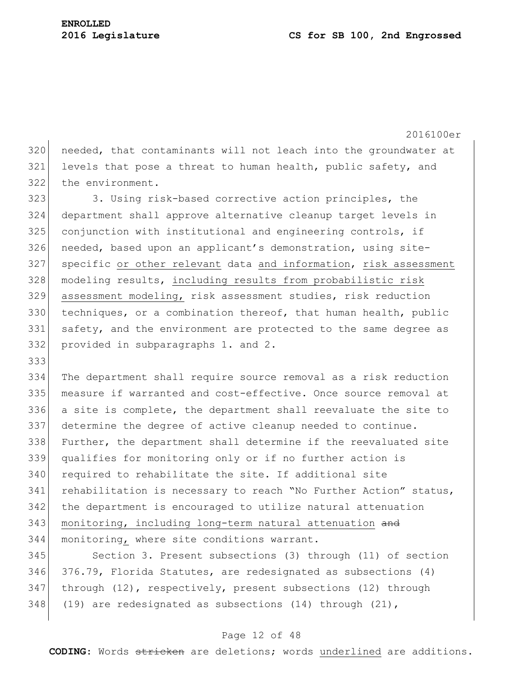2016100er 320 needed, that contaminants will not leach into the groundwater at 321 levels that pose a threat to human health, public safety, and 322 the environment. 323 3. Using risk-based corrective action principles, the 324 department shall approve alternative cleanup target levels in 325 conjunction with institutional and engineering controls, if 326 needed, based upon an applicant's demonstration, using site-327 specific or other relevant data and information, risk assessment 328 | modeling results, including results from probabilistic risk 329 assessment modeling, risk assessment studies, risk reduction 330 techniques, or a combination thereof, that human health, public 331 safety, and the environment are protected to the same degree as 332 provided in subparagraphs 1. and 2. 333 334 The department shall require source removal as a risk reduction 335 measure if warranted and cost-effective. Once source removal at 336 a site is complete, the department shall reevaluate the site to 337 determine the degree of active cleanup needed to continue. 338 Further, the department shall determine if the reevaluated site 339 qualifies for monitoring only or if no further action is 340 required to rehabilitate the site. If additional site 341 rehabilitation is necessary to reach "No Further Action" status, 342 the department is encouraged to utilize natural attenuation 343 monitoring, including long-term natural attenuation and 344 monitoring, where site conditions warrant.

 Section 3. Present subsections (3) through (11) of section 376.79, Florida Statutes, are redesignated as subsections (4) through (12), respectively, present subsections (12) through 348 (19) are redesignated as subsections (14) through (21),

## Page 12 of 48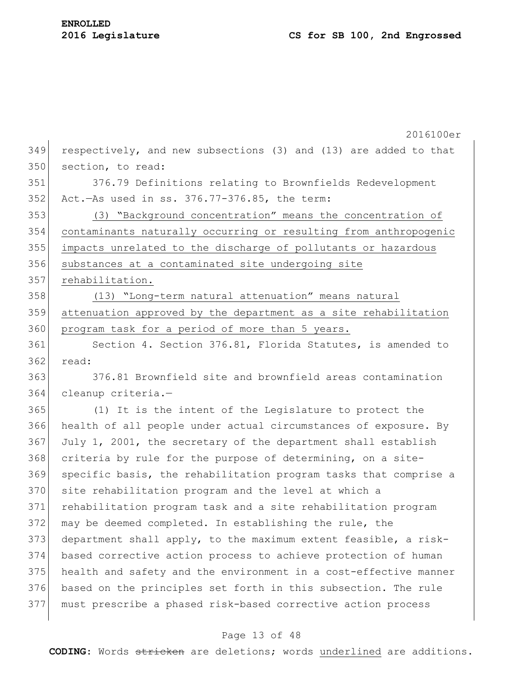|     | 2016100er                                                        |
|-----|------------------------------------------------------------------|
| 349 | respectively, and new subsections (3) and (13) are added to that |
| 350 | section, to read:                                                |
| 351 | 376.79 Definitions relating to Brownfields Redevelopment         |
| 352 | Act.-As used in ss. 376.77-376.85, the term:                     |
| 353 | (3) "Background concentration" means the concentration of        |
| 354 | contaminants naturally occurring or resulting from anthropogenic |
| 355 | impacts unrelated to the discharge of pollutants or hazardous    |
| 356 | substances at a contaminated site undergoing site                |
| 357 | rehabilitation.                                                  |
| 358 | (13) "Long-term natural attenuation" means natural               |
| 359 | attenuation approved by the department as a site rehabilitation  |
| 360 | program task for a period of more than 5 years.                  |
| 361 | Section 4. Section 376.81, Florida Statutes, is amended to       |
| 362 | read:                                                            |
| 363 | 376.81 Brownfield site and brownfield areas contamination        |
| 364 | cleanup criteria.-                                               |
| 365 | (1) It is the intent of the Legislature to protect the           |
| 366 | health of all people under actual circumstances of exposure. By  |
| 367 | July 1, 2001, the secretary of the department shall establish    |
| 368 | criteria by rule for the purpose of determining, on a site-      |
| 369 | specific basis, the rehabilitation program tasks that comprise a |
| 370 | site rehabilitation program and the level at which a             |
| 371 | rehabilitation program task and a site rehabilitation program    |
| 372 | may be deemed completed. In establishing the rule, the           |
| 373 | department shall apply, to the maximum extent feasible, a risk-  |
| 374 | based corrective action process to achieve protection of human   |
| 375 | health and safety and the environment in a cost-effective manner |
| 376 | based on the principles set forth in this subsection. The rule   |
| 377 | must prescribe a phased risk-based corrective action process     |

# Page 13 of 48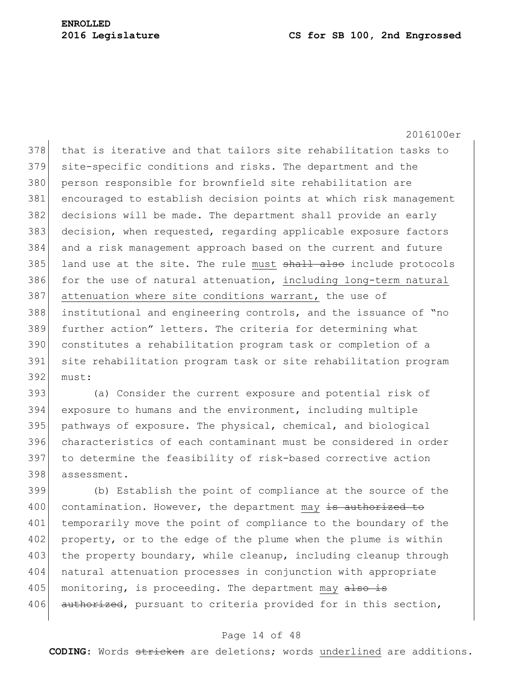2016100er

378 that is iterative and that tailors site rehabilitation tasks to 379 site-specific conditions and risks. The department and the 380 person responsible for brownfield site rehabilitation are 381 encouraged to establish decision points at which risk management 382 decisions will be made. The department shall provide an early 383 decision, when requested, regarding applicable exposure factors 384 and a risk management approach based on the current and future 385 land use at the site. The rule must shall also include protocols  $386$  for the use of natural attenuation, including long-term natural 387 attenuation where site conditions warrant, the use of 388 institutional and engineering controls, and the issuance of "no 389 further action" letters. The criteria for determining what 390 constitutes a rehabilitation program task or completion of a 391 site rehabilitation program task or site rehabilitation program 392 must:

 (a) Consider the current exposure and potential risk of exposure to humans and the environment, including multiple pathways of exposure. The physical, chemical, and biological characteristics of each contaminant must be considered in order 397 to determine the feasibility of risk-based corrective action 398 assessment.

399 (b) Establish the point of compliance at the source of the 400 contamination. However, the department may is authorized to 401 temporarily move the point of compliance to the boundary of the 402 property, or to the edge of the plume when the plume is within 403 the property boundary, while cleanup, including cleanup through 404 natural attenuation processes in conjunction with appropriate 405 monitoring, is proceeding. The department may also is 406 authorized, pursuant to criteria provided for in this section,

## Page 14 of 48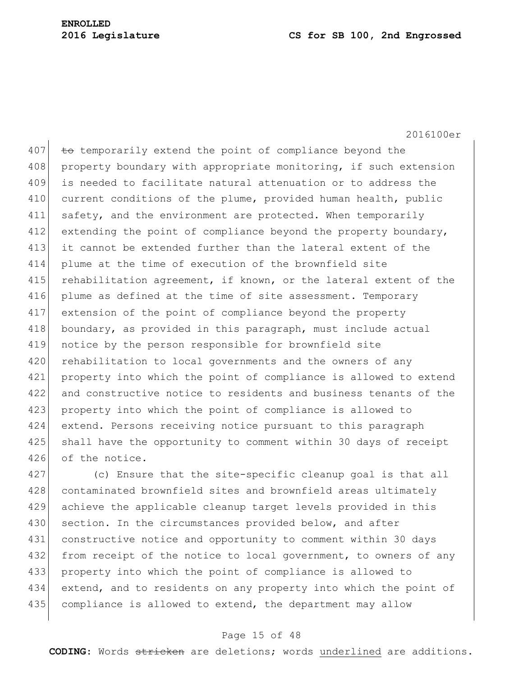2016100er

407  $\pm$  to temporarily extend the point of compliance beyond the 408 property boundary with appropriate monitoring, if such extension 409 is needed to facilitate natural attenuation or to address the 410 current conditions of the plume, provided human health, public 411 safety, and the environment are protected. When temporarily 412 extending the point of compliance beyond the property boundary, 413 it cannot be extended further than the lateral extent of the 414 plume at the time of execution of the brownfield site 415 rehabilitation agreement, if known, or the lateral extent of the 416 plume as defined at the time of site assessment. Temporary 417 extension of the point of compliance beyond the property 418 boundary, as provided in this paragraph, must include actual 419 notice by the person responsible for brownfield site 420 rehabilitation to local governments and the owners of any 421 property into which the point of compliance is allowed to extend 422 and constructive notice to residents and business tenants of the 423 property into which the point of compliance is allowed to 424 extend. Persons receiving notice pursuant to this paragraph 425 shall have the opportunity to comment within 30 days of receipt 426 of the notice.

427 (c) Ensure that the site-specific cleanup goal is that all 428 contaminated brownfield sites and brownfield areas ultimately 429 achieve the applicable cleanup target levels provided in this 430 section. In the circumstances provided below, and after 431 constructive notice and opportunity to comment within 30 days 432 from receipt of the notice to local government, to owners of any 433 property into which the point of compliance is allowed to 434 extend, and to residents on any property into which the point of 435 compliance is allowed to extend, the department may allow

## Page 15 of 48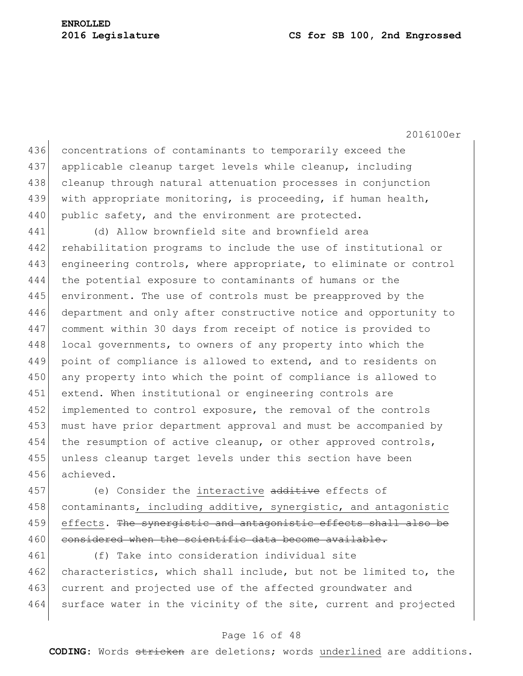2016100er

436 concentrations of contaminants to temporarily exceed the 437 applicable cleanup target levels while cleanup, including 438 cleanup through natural attenuation processes in conjunction 439 with appropriate monitoring, is proceeding, if human health, 440 public safety, and the environment are protected.

 (d) Allow brownfield site and brownfield area 442 rehabilitation programs to include the use of institutional or engineering controls, where appropriate, to eliminate or control the potential exposure to contaminants of humans or the 445 environment. The use of controls must be preapproved by the 446 department and only after constructive notice and opportunity to comment within 30 days from receipt of notice is provided to 448 local governments, to owners of any property into which the 449 point of compliance is allowed to extend, and to residents on 450 any property into which the point of compliance is allowed to extend. When institutional or engineering controls are implemented to control exposure, the removal of the controls must have prior department approval and must be accompanied by the resumption of active cleanup, or other approved controls, unless cleanup target levels under this section have been achieved.

457 (e) Consider the interactive additive effects of 458 contaminants, including additive, synergistic, and antagonistic 459 effects. The synergistic and antagonistic effects shall also be 460 considered when the scientific data become available.

461 (f) Take into consideration individual site 462 characteristics, which shall include, but not be limited to, the 463 current and projected use of the affected groundwater and 464 surface water in the vicinity of the site, current and projected

## Page 16 of 48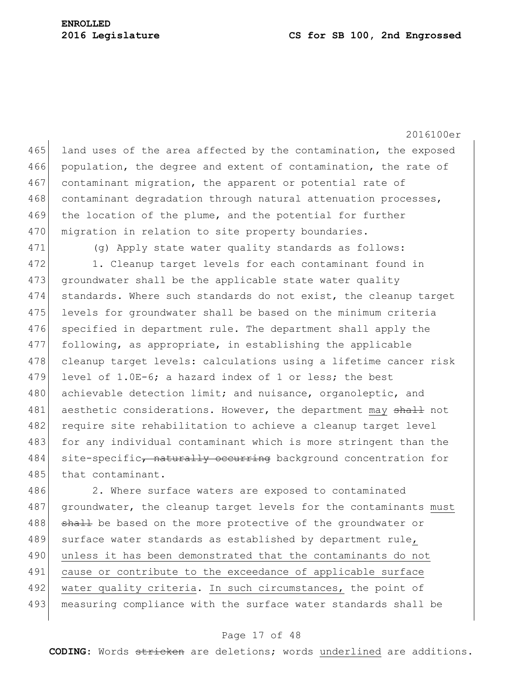2016100er

465 land uses of the area affected by the contamination, the exposed 466 population, the degree and extent of contamination, the rate of 467 contaminant migration, the apparent or potential rate of 468 contaminant degradation through natural attenuation processes, 469 the location of the plume, and the potential for further 470 migration in relation to site property boundaries.

471 (g) Apply state water quality standards as follows:

472 1. Cleanup target levels for each contaminant found in 473 groundwater shall be the applicable state water quality 474 standards. Where such standards do not exist, the cleanup target 475 levels for groundwater shall be based on the minimum criteria 476 specified in department rule. The department shall apply the 477 following, as appropriate, in establishing the applicable 478 cleanup target levels: calculations using a lifetime cancer risk 479 level of 1.0E-6; a hazard index of 1 or less; the best 480 achievable detection limit; and nuisance, organoleptic, and 481 aesthetic considerations. However, the department may shall not 482 require site rehabilitation to achieve a cleanup target level 483 for any individual contaminant which is more stringent than the 484 site-specific, naturally occurring background concentration for 485 that contaminant.

486 2. Where surface waters are exposed to contaminated 487 groundwater, the cleanup target levels for the contaminants must 488 shall be based on the more protective of the groundwater or 489 surface water standards as established by department rule, 490 unless it has been demonstrated that the contaminants do not 491 cause or contribute to the exceedance of applicable surface 492 water quality criteria. In such circumstances, the point of 493 measuring compliance with the surface water standards shall be

#### Page 17 of 48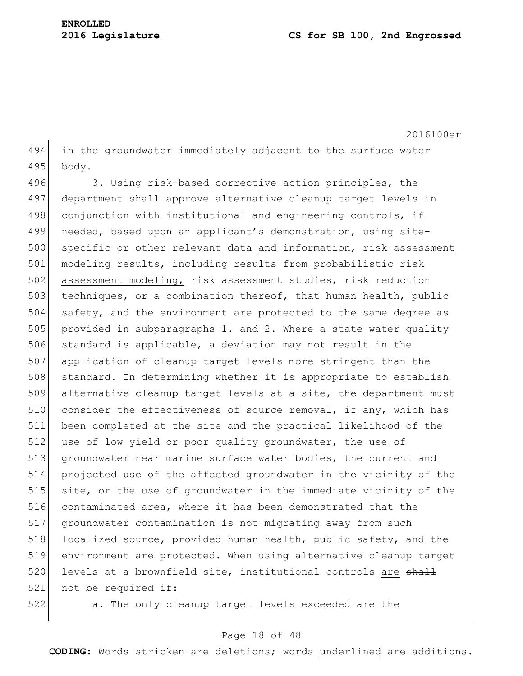2016100er 494 in the groundwater immediately adjacent to the surface water 495 body.

496 3. Using risk-based corrective action principles, the 497 department shall approve alternative cleanup target levels in 498 conjunction with institutional and engineering controls, if 499 needed, based upon an applicant's demonstration, using site-500 specific or other relevant data and information, risk assessment 501 modeling results, including results from probabilistic risk 502 assessment modeling, risk assessment studies, risk reduction 503 techniques, or a combination thereof, that human health, public 504 safety, and the environment are protected to the same degree as 505 provided in subparagraphs 1. and 2. Where a state water quality 506 standard is applicable, a deviation may not result in the 507 application of cleanup target levels more stringent than the 508 standard. In determining whether it is appropriate to establish 509 alternative cleanup target levels at a site, the department must 510 consider the effectiveness of source removal, if any, which has 511 been completed at the site and the practical likelihood of the 512 use of low yield or poor quality groundwater, the use of 513 groundwater near marine surface water bodies, the current and 514 projected use of the affected groundwater in the vicinity of the 515 site, or the use of groundwater in the immediate vicinity of the 516 contaminated area, where it has been demonstrated that the 517 groundwater contamination is not migrating away from such 518 localized source, provided human health, public safety, and the 519 environment are protected. When using alternative cleanup target 520 levels at a brownfield site, institutional controls are shall 521 not be required if:

522 a. The only cleanup target levels exceeded are the

## Page 18 of 48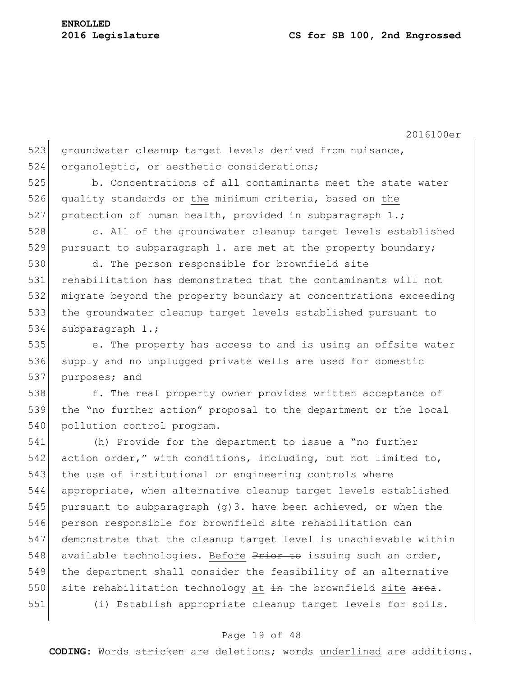523 groundwater cleanup target levels derived from nuisance, 524 organoleptic, or aesthetic considerations;

525 b. Concentrations of all contaminants meet the state water 526 quality standards or the minimum criteria, based on the 527 protection of human health, provided in subparagraph 1.;

528 c. All of the groundwater cleanup target levels established 529 pursuant to subparagraph 1. are met at the property boundary;

 d. The person responsible for brownfield site rehabilitation has demonstrated that the contaminants will not migrate beyond the property boundary at concentrations exceeding the groundwater cleanup target levels established pursuant to 534 subparagraph 1.;

535 e. The property has access to and is using an offsite water 536 supply and no unplugged private wells are used for domestic 537 purposes; and

538 f. The real property owner provides written acceptance of 539 the "no further action" proposal to the department or the local 540 pollution control program.

541 (h) Provide for the department to issue a "no further 542 action order," with conditions, including, but not limited to, 543 the use of institutional or engineering controls where 544 appropriate, when alternative cleanup target levels established 545 pursuant to subparagraph (g) 3. have been achieved, or when the 546 person responsible for brownfield site rehabilitation can 547 demonstrate that the cleanup target level is unachievable within 548 available technologies. Before  $P$ rior to issuing such an order, 549 the department shall consider the feasibility of an alternative 550 site rehabilitation technology at  $\frac{1}{2}$  the brownfield site area. 551 (i) Establish appropriate cleanup target levels for soils.

## Page 19 of 48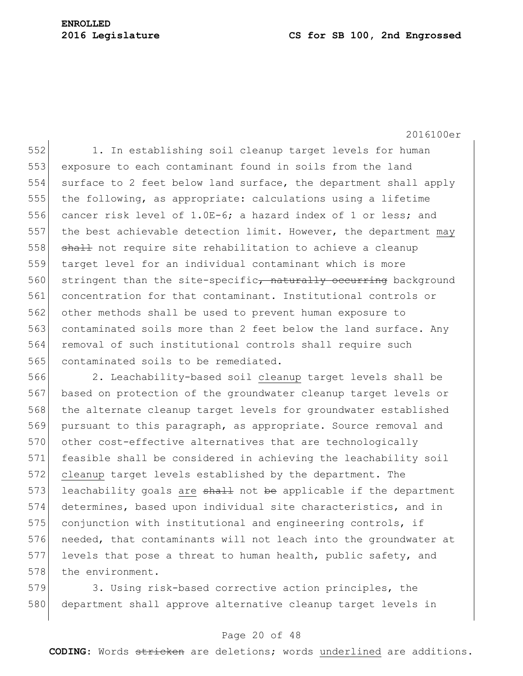# **ENROLLED**

#### **2016 Legislature CS for SB 100, 2nd Engrossed**

2016100er

552 1. In establishing soil cleanup target levels for human 553 exposure to each contaminant found in soils from the land 554 surface to 2 feet below land surface, the department shall apply 555 the following, as appropriate: calculations using a lifetime 556 cancer risk level of 1.0E-6; a hazard index of 1 or less; and 557 the best achievable detection limit. However, the department may 558 shall not require site rehabilitation to achieve a cleanup 559 target level for an individual contaminant which is more 560 stringent than the site-specific<del>, naturally occurring</del> background 561 concentration for that contaminant. Institutional controls or 562 other methods shall be used to prevent human exposure to 563 contaminated soils more than 2 feet below the land surface. Any 564 removal of such institutional controls shall require such 565 contaminated soils to be remediated.

566 2. Leachability-based soil cleanup target levels shall be 567 based on protection of the groundwater cleanup target levels or 568 the alternate cleanup target levels for groundwater established 569 pursuant to this paragraph, as appropriate. Source removal and 570 other cost-effective alternatives that are technologically 571 feasible shall be considered in achieving the leachability soil 572 cleanup target levels established by the department. The 573 leachability goals are  $shath$  not be applicable if the department 574 determines, based upon individual site characteristics, and in 575 conjunction with institutional and engineering controls, if 576 needed, that contaminants will not leach into the groundwater at 577 levels that pose a threat to human health, public safety, and 578 the environment.

579 3. Using risk-based corrective action principles, the 580 department shall approve alternative cleanup target levels in

## Page 20 of 48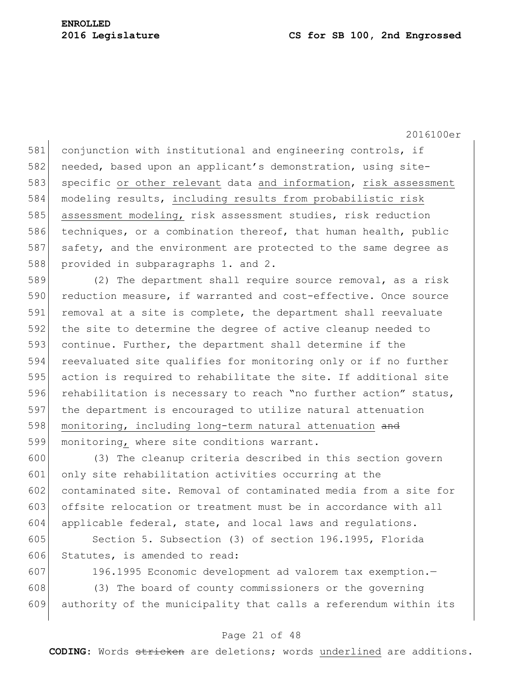581 conjunction with institutional and engineering controls, if 582 needed, based upon an applicant's demonstration, using site-583 specific or other relevant data and information, risk assessment 584 modeling results, including results from probabilistic risk 585 assessment modeling, risk assessment studies, risk reduction 586 techniques, or a combination thereof, that human health, public 587 safety, and the environment are protected to the same degree as 588 provided in subparagraphs 1. and 2.

589 (2) The department shall require source removal, as a risk 590 reduction measure, if warranted and cost-effective. Once source 591 removal at a site is complete, the department shall reevaluate 592 the site to determine the degree of active cleanup needed to 593 continue. Further, the department shall determine if the 594 reevaluated site qualifies for monitoring only or if no further 595 action is required to rehabilitate the site. If additional site 596 rehabilitation is necessary to reach "no further action" status, 597 the department is encouraged to utilize natural attenuation 598 monitoring, including long-term natural attenuation and 599 monitoring, where site conditions warrant.

600 (3) The cleanup criteria described in this section govern 601 only site rehabilitation activities occurring at the 602 contaminated site. Removal of contaminated media from a site for 603 offsite relocation or treatment must be in accordance with all 604 applicable federal, state, and local laws and regulations.

605 Section 5. Subsection (3) of section 196.1995, Florida 606 Statutes, is amended to read:

607 196.1995 Economic development ad valorem tax exemption.— 608 (3) The board of county commissioners or the governing 609 authority of the municipality that calls a referendum within its

## Page 21 of 48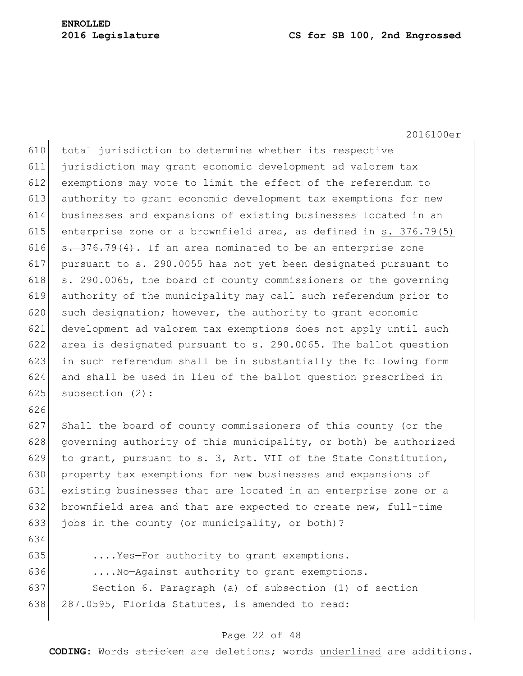2016100er

610 total jurisdiction to determine whether its respective 611 jurisdiction may grant economic development ad valorem tax 612 exemptions may vote to limit the effect of the referendum to 613 authority to grant economic development tax exemptions for new 614 businesses and expansions of existing businesses located in an 615 enterprise zone or a brownfield area, as defined in s.  $376.79(5)$ 616  $\sigma$ . 376.79(4). If an area nominated to be an enterprise zone 617 pursuant to s. 290.0055 has not yet been designated pursuant to 618  $\vert$  s. 290.0065, the board of county commissioners or the governing 619 authority of the municipality may call such referendum prior to 620 such designation; however, the authority to grant economic 621 development ad valorem tax exemptions does not apply until such 622 area is designated pursuant to s. 290.0065. The ballot question 623 in such referendum shall be in substantially the following form 624 and shall be used in lieu of the ballot question prescribed in 625 subsection (2): 626 627 Shall the board of county commissioners of this county (or the 628 governing authority of this municipality, or both) be authorized 629 to grant, pursuant to s. 3, Art. VII of the State Constitution, 630 property tax exemptions for new businesses and expansions of 631 existing businesses that are located in an enterprise zone or a 632 brownfield area and that are expected to create new, full-time 633 jobs in the county (or municipality, or both)? 634 635 ....Yes—For authority to grant exemptions. 636 ....No-Against authority to grant exemptions.

637 Section 6. Paragraph (a) of subsection (1) of section 638 287.0595, Florida Statutes, is amended to read:

## Page 22 of 48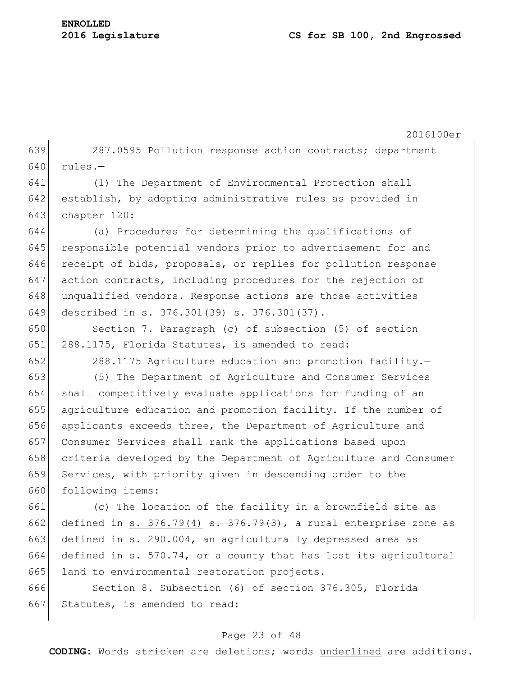2016100er 639 287.0595 Pollution response action contracts; department  $640$  rules. $-$ 641 (1) The Department of Environmental Protection shall 642 establish, by adopting administrative rules as provided in 643 chapter 120: 644 (a) Procedures for determining the qualifications of 645 responsible potential vendors prior to advertisement for and 646 receipt of bids, proposals, or replies for pollution response 647 action contracts, including procedures for the rejection of 648 unqualified vendors. Response actions are those activities 649 described in s. 376.301(39) <del>s. 376.301(37)</del>. 650 Section 7. Paragraph (c) of subsection (5) of section 651 288.1175, Florida Statutes, is amended to read: 652 288.1175 Agriculture education and promotion facility. 653 (5) The Department of Agriculture and Consumer Services 654 shall competitively evaluate applications for funding of an 655 agriculture education and promotion facility. If the number of 656 applicants exceeds three, the Department of Agriculture and 657 Consumer Services shall rank the applications based upon 658 criteria developed by the Department of Agriculture and Consumer 659 Services, with priority given in descending order to the 660 following items: 661 (c) The location of the facility in a brownfield site as 662 defined in s. 376.79(4)  $\frac{1}{2}$   $\frac{376.79(3)}{1}$ , a rural enterprise zone as 663 defined in s. 290.004, an agriculturally depressed area as 664 defined in s. 570.74, or a county that has lost its agricultural 665 land to environmental restoration projects. 666 Section 8. Subsection (6) of section 376.305, Florida 667 Statutes, is amended to read:

## Page 23 of 48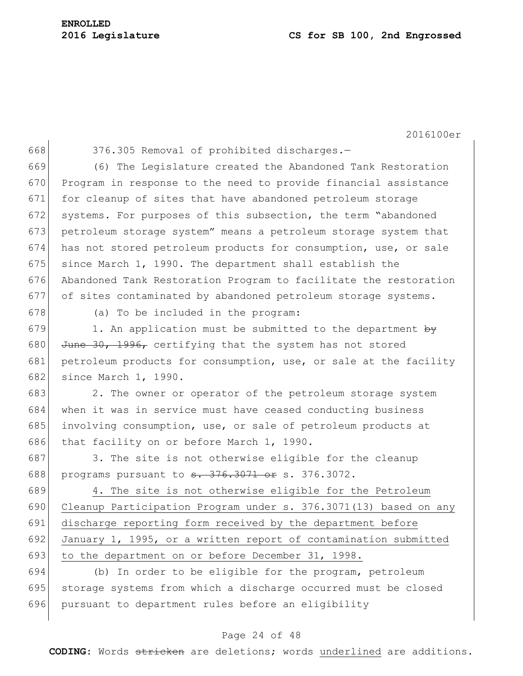668 376.305 Removal of prohibited discharges.-

669 (6) The Legislature created the Abandoned Tank Restoration 670 Program in response to the need to provide financial assistance 671 for cleanup of sites that have abandoned petroleum storage 672 systems. For purposes of this subsection, the term "abandoned 673 petroleum storage system" means a petroleum storage system that 674 has not stored petroleum products for consumption, use, or sale 675 since March 1, 1990. The department shall establish the 676 Abandoned Tank Restoration Program to facilitate the restoration 677 of sites contaminated by abandoned petroleum storage systems.

678 (a) To be included in the program:

679 1. An application must be submitted to the department by 680 June 30, 1996, certifying that the system has not stored 681 petroleum products for consumption, use, or sale at the facility 682 since March 1, 1990.

683 2. The owner or operator of the petroleum storage system 684 when it was in service must have ceased conducting business 685 involving consumption, use, or sale of petroleum products at 686 that facility on or before March 1, 1990.

687 3. The site is not otherwise eligible for the cleanup 688 programs pursuant to <del>s. 376.3071 or</del> s. 376.3072.

 4. The site is not otherwise eligible for the Petroleum Cleanup Participation Program under s. 376.3071(13) based on any discharge reporting form received by the department before January 1, 1995, or a written report of contamination submitted 693 to the department on or before December 31, 1998.

694 (b) In order to be eligible for the program, petroleum 695 storage systems from which a discharge occurred must be closed 696 pursuant to department rules before an eligibility

## Page 24 of 48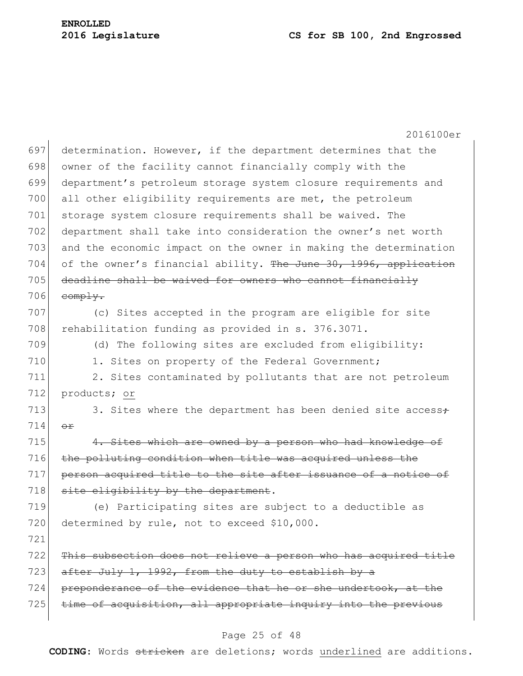2016100er 697 determination. However, if the department determines that the 698 owner of the facility cannot financially comply with the 699 department's petroleum storage system closure requirements and 700 all other eligibility requirements are met, the petroleum 701 storage system closure requirements shall be waived. The 702 department shall take into consideration the owner's net worth 703 and the economic impact on the owner in making the determination 704 of the owner's financial ability. The June  $30, 1996,$  application  $705$  deadline shall be waived for owners who cannot financially  $706$  comply. 707 (c) Sites accepted in the program are eligible for site 708 rehabilitation funding as provided in s. 376.3071. 709 (d) The following sites are excluded from eligibility: 710 1. Sites on property of the Federal Government; 711 2. Sites contaminated by pollutants that are not petroleum 712 products; or 713 3. Sites where the department has been denied site access $\div$ 714 or 715 4. Sites which are owned by a person who had knowledge of 716 the polluting condition when title was acquired unless the 717 person acquired title to the site after issuance of a notice of  $718$  site eligibility by the department. 719 (e) Participating sites are subject to a deductible as 720 determined by rule, not to exceed \$10,000. 721 722 This subsection does not relieve a person who has acquired title  $723$  after July 1, 1992, from the duty to establish by a 724 preponderance of the evidence that he or she undertook, at the 725 time of acquisition, all appropriate inquiry into the previous

## Page 25 of 48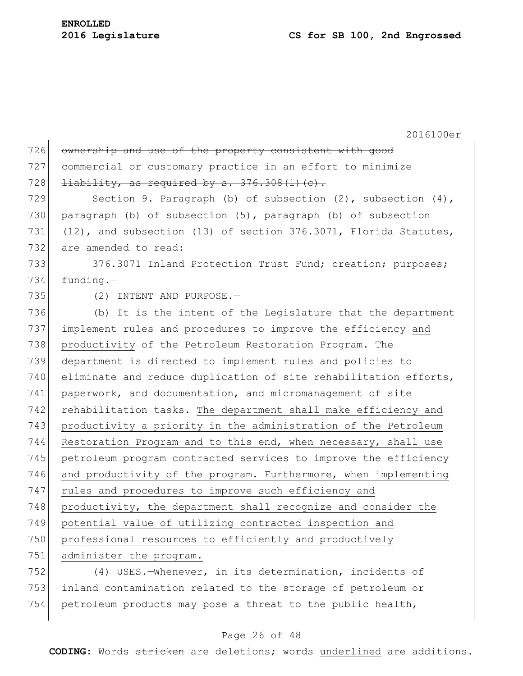| 726 | ownership and use of the property consistent with good                |
|-----|-----------------------------------------------------------------------|
| 727 | commercial or customary practice in an effort to minimize             |
| 728 | $\frac{1}{1}$ iability, as required by s. 376.308(1)(c).              |
| 729 | Section 9. Paragraph (b) of subsection $(2)$ , subsection $(4)$ ,     |
| 730 | paragraph (b) of subsection (5), paragraph (b) of subsection          |
| 731 | $(12)$ , and subsection $(13)$ of section 376.3071, Florida Statutes, |
| 732 | are amended to read:                                                  |
| 733 | 376.3071 Inland Protection Trust Fund; creation; purposes;            |
| 734 | $funding. -$                                                          |
| 735 | (2) INTENT AND PURPOSE.-                                              |
| 736 | (b) It is the intent of the Legislature that the department           |
| 737 | implement rules and procedures to improve the efficiency and          |
| 738 | productivity of the Petroleum Restoration Program. The                |
| 739 | department is directed to implement rules and policies to             |
| 740 | eliminate and reduce duplication of site rehabilitation efforts,      |
| 741 | paperwork, and documentation, and micromanagement of site             |
| 742 | rehabilitation tasks. The department shall make efficiency and        |
| 743 | productivity a priority in the administration of the Petroleum        |
| 744 | Restoration Program and to this end, when necessary, shall use        |
| 745 | petroleum program contracted services to improve the efficiency       |
| 746 | and productivity of the program. Furthermore, when implementing       |
| 747 | rules and procedures to improve such efficiency and                   |
| 748 | productivity, the department shall recognize and consider the         |
| 749 | potential value of utilizing contracted inspection and                |
| 750 | professional resources to efficiently and productively                |
| 751 | administer the program.                                               |
| 752 | (4) USES.-Whenever, in its determination, incidents of                |
| 753 | inland contamination related to the storage of petroleum or           |

754 petroleum products may pose a threat to the public health,

# Page 26 of 48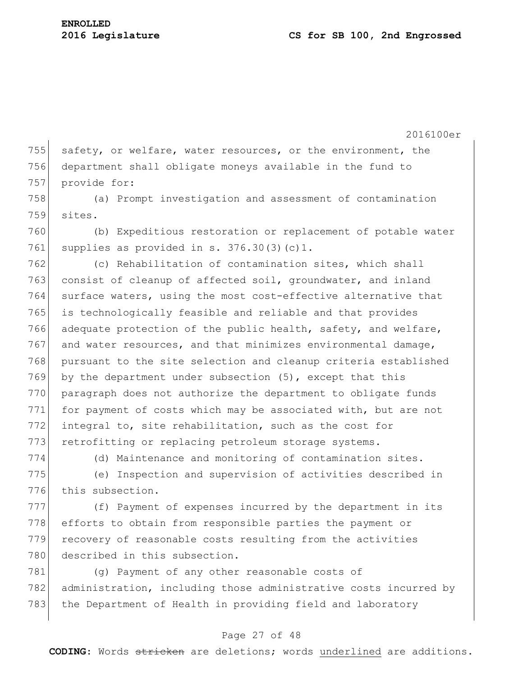755 safety, or welfare, water resources, or the environment, the 756 department shall obligate moneys available in the fund to 757 provide for:

758 (a) Prompt investigation and assessment of contamination 759 sites.

760 (b) Expeditious restoration or replacement of potable water 761 supplies as provided in s.  $376.30(3)(c)1$ .

762 (c) Rehabilitation of contamination sites, which shall 763 consist of cleanup of affected soil, groundwater, and inland 764 surface waters, using the most cost-effective alternative that 765 is technologically feasible and reliable and that provides 766 adequate protection of the public health, safety, and welfare,  $767$  and water resources, and that minimizes environmental damage, 768 pursuant to the site selection and cleanup criteria established 769 by the department under subsection (5), except that this 770 paragraph does not authorize the department to obligate funds 771 for payment of costs which may be associated with, but are not 772 integral to, site rehabilitation, such as the cost for 773 retrofitting or replacing petroleum storage systems.

774 (d) Maintenance and monitoring of contamination sites.

775 (e) Inspection and supervision of activities described in 776 this subsection.

777 (f) Payment of expenses incurred by the department in its 778 efforts to obtain from responsible parties the payment or 779 recovery of reasonable costs resulting from the activities 780 described in this subsection.

781 (g) Payment of any other reasonable costs of 782 administration, including those administrative costs incurred by 783 the Department of Health in providing field and laboratory

## Page 27 of 48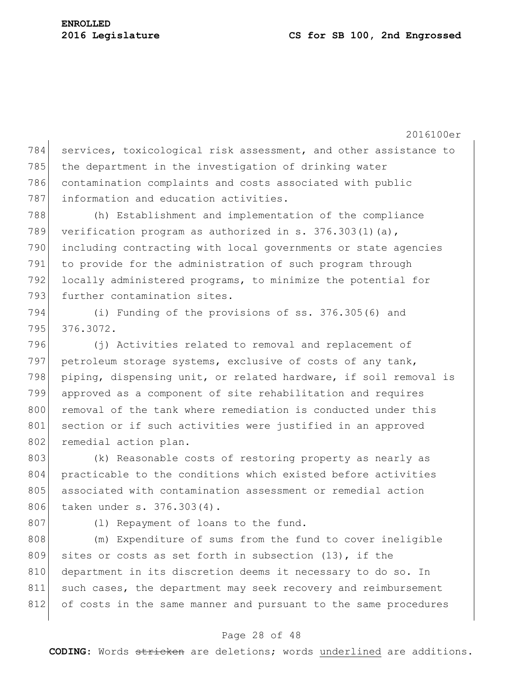784 services, toxicological risk assessment, and other assistance to 785 the department in the investigation of drinking water 786 contamination complaints and costs associated with public 787 information and education activities. 788 (h) Establishment and implementation of the compliance 789 verification program as authorized in s. 376.303(1)(a), 790 including contracting with local governments or state agencies 791 to provide for the administration of such program through 792 locally administered programs, to minimize the potential for 793 further contamination sites. 794 (i) Funding of the provisions of ss. 376.305(6) and 795 376.3072. 796 (j) Activities related to removal and replacement of 797 petroleum storage systems, exclusive of costs of any tank,

798 piping, dispensing unit, or related hardware, if soil removal is 799 approved as a component of site rehabilitation and requires 800 removal of the tank where remediation is conducted under this 801 section or if such activities were justified in an approved 802 remedial action plan.

803 (k) Reasonable costs of restoring property as nearly as 804 practicable to the conditions which existed before activities 805 associated with contamination assessment or remedial action 806 taken under s. 376.303(4).

807 (1) Repayment of loans to the fund.

808 (m) Expenditure of sums from the fund to cover ineligible 809 sites or costs as set forth in subsection (13), if the 810 department in its discretion deems it necessary to do so. In 811 such cases, the department may seek recovery and reimbursement 812 of costs in the same manner and pursuant to the same procedures

## Page 28 of 48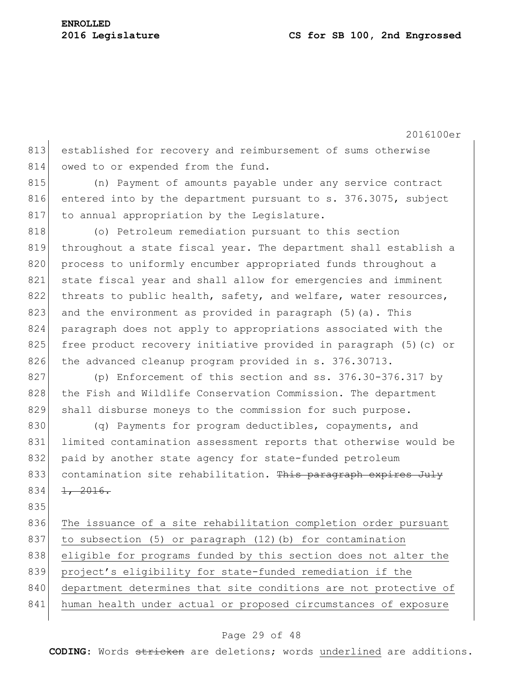2016100er 813 established for recovery and reimbursement of sums otherwise 814 owed to or expended from the fund. 815 (n) Payment of amounts payable under any service contract 816 entered into by the department pursuant to s. 376.3075, subject 817 to annual appropriation by the Legislature. 818 (o) Petroleum remediation pursuant to this section 819 throughout a state fiscal year. The department shall establish a 820 process to uniformly encumber appropriated funds throughout a 821 state fiscal year and shall allow for emergencies and imminent 822 threats to public health, safety, and welfare, water resources, 823 and the environment as provided in paragraph  $(5)$  (a). This 824 paragraph does not apply to appropriations associated with the 825 free product recovery initiative provided in paragraph (5)(c) or 826 the advanced cleanup program provided in s. 376.30713. 827 (p) Enforcement of this section and ss. 376.30-376.317 by 828 the Fish and Wildlife Conservation Commission. The department 829 shall disburse moneys to the commission for such purpose. 830 (q) Payments for program deductibles, copayments, and 831 limited contamination assessment reports that otherwise would be 832 paid by another state agency for state-funded petroleum 833 contamination site rehabilitation. This paragraph expires July  $834$   $1, 2016.$ 835 836 The issuance of a site rehabilitation completion order pursuant 837 to subsection (5) or paragraph (12)(b) for contamination 838 eligible for programs funded by this section does not alter the 839 project's eligibility for state-funded remediation if the 840 department determines that site conditions are not protective of 841 human health under actual or proposed circumstances of exposure

## Page 29 of 48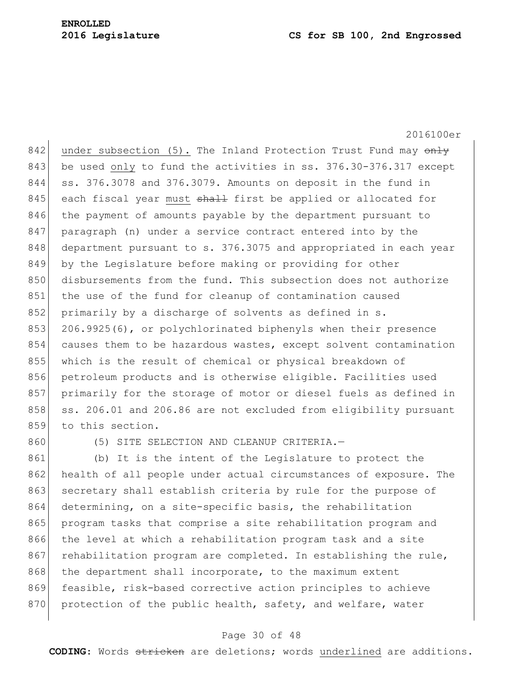2016100er

842 under subsection (5). The Inland Protection Trust Fund may  $\overline{on}$ 843 be used only to fund the activities in ss. 376.30-376.317 except 844 ss. 376.3078 and 376.3079. Amounts on deposit in the fund in 845 each fiscal year must shall first be applied or allocated for 846 the payment of amounts payable by the department pursuant to 847 paragraph (n) under a service contract entered into by the 848 department pursuant to s. 376.3075 and appropriated in each year 849 by the Legislature before making or providing for other 850 disbursements from the fund. This subsection does not authorize 851 the use of the fund for cleanup of contamination caused 852 primarily by a discharge of solvents as defined in s. 853 206.9925(6), or polychlorinated biphenyls when their presence 854 causes them to be hazardous wastes, except solvent contamination 855 which is the result of chemical or physical breakdown of 856 petroleum products and is otherwise eligible. Facilities used 857 primarily for the storage of motor or diesel fuels as defined in 858 ss. 206.01 and 206.86 are not excluded from eligibility pursuant 859 to this section.

860 (5) SITE SELECTION AND CLEANUP CRITERIA.

861 (b) It is the intent of the Legislature to protect the 862 health of all people under actual circumstances of exposure. The 863 secretary shall establish criteria by rule for the purpose of 864 determining, on a site-specific basis, the rehabilitation 865 program tasks that comprise a site rehabilitation program and 866 the level at which a rehabilitation program task and a site 867 rehabilitation program are completed. In establishing the rule, 868 the department shall incorporate, to the maximum extent 869 feasible, risk-based corrective action principles to achieve 870 protection of the public health, safety, and welfare, water

## Page 30 of 48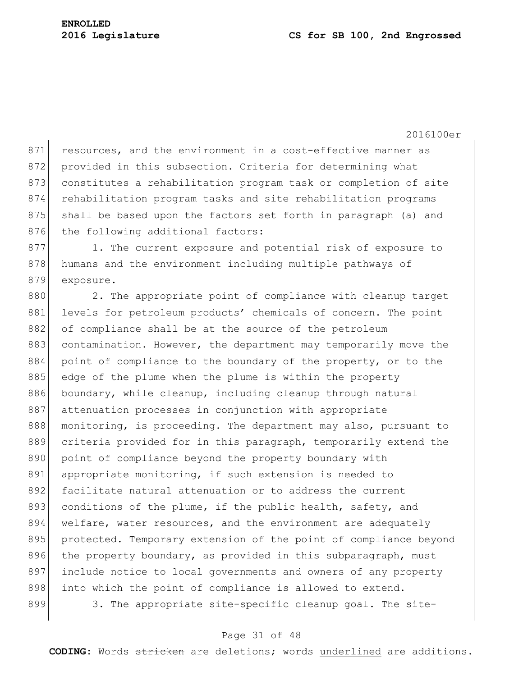871 resources, and the environment in a cost-effective manner as 872 provided in this subsection. Criteria for determining what 873 constitutes a rehabilitation program task or completion of site 874 rehabilitation program tasks and site rehabilitation programs 875 shall be based upon the factors set forth in paragraph (a) and 876 the following additional factors:

877 1. The current exposure and potential risk of exposure to 878 humans and the environment including multiple pathways of 879 exposure.

880 2. The appropriate point of compliance with cleanup target 881 levels for petroleum products' chemicals of concern. The point 882 of compliance shall be at the source of the petroleum 883 contamination. However, the department may temporarily move the 884 point of compliance to the boundary of the property, or to the 885 edge of the plume when the plume is within the property 886 boundary, while cleanup, including cleanup through natural 887 attenuation processes in conjunction with appropriate 888 monitoring, is proceeding. The department may also, pursuant to 889 criteria provided for in this paragraph, temporarily extend the 890 point of compliance beyond the property boundary with 891 appropriate monitoring, if such extension is needed to 892 facilitate natural attenuation or to address the current 893 conditions of the plume, if the public health, safety, and 894 welfare, water resources, and the environment are adequately 895 | protected. Temporary extension of the point of compliance beyond 896 the property boundary, as provided in this subparagraph, must 897 include notice to local governments and owners of any property 898 into which the point of compliance is allowed to extend. 899 3. The appropriate site-specific cleanup goal. The site-

## Page 31 of 48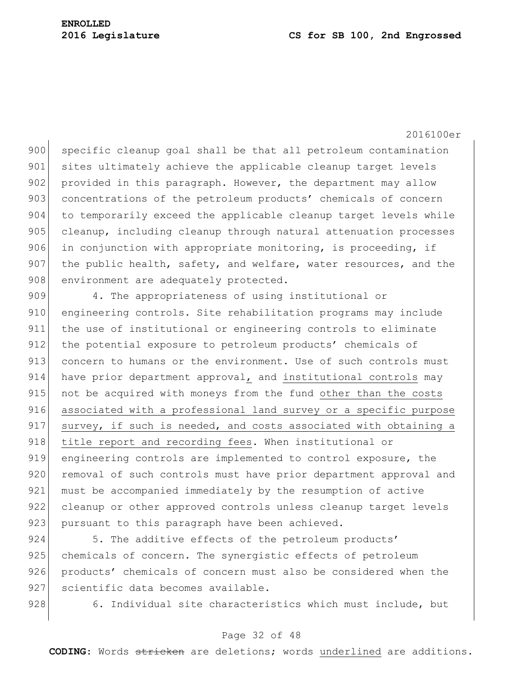900 specific cleanup goal shall be that all petroleum contamination 901 sites ultimately achieve the applicable cleanup target levels 902 provided in this paragraph. However, the department may allow 903 concentrations of the petroleum products' chemicals of concern 904 to temporarily exceed the applicable cleanup target levels while 905 cleanup, including cleanup through natural attenuation processes 906 in conjunction with appropriate monitoring, is proceeding, if 907 the public health, safety, and welfare, water resources, and the 908 environment are adequately protected.

909 4. The appropriateness of using institutional or 910 engineering controls. Site rehabilitation programs may include 911 the use of institutional or engineering controls to eliminate 912 the potential exposure to petroleum products' chemicals of 913 concern to humans or the environment. Use of such controls must 914 have prior department approval, and institutional controls may 915 not be acquired with moneys from the fund other than the costs 916 associated with a professional land survey or a specific purpose 917 survey, if such is needed, and costs associated with obtaining a 918 title report and recording fees. When institutional or 919 engineering controls are implemented to control exposure, the 920 removal of such controls must have prior department approval and 921 must be accompanied immediately by the resumption of active 922 cleanup or other approved controls unless cleanup target levels 923 pursuant to this paragraph have been achieved.

924 5. The additive effects of the petroleum products' 925 chemicals of concern. The synergistic effects of petroleum 926 products' chemicals of concern must also be considered when the 927 scientific data becomes available.

928 6. Individual site characteristics which must include, but

## Page 32 of 48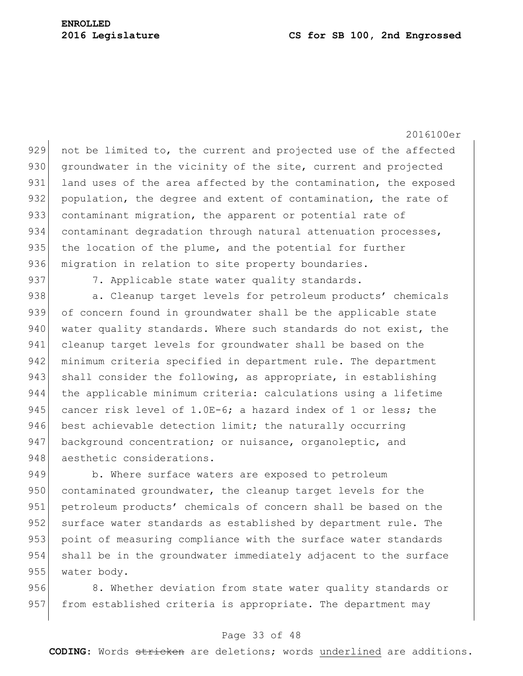929 not be limited to, the current and projected use of the affected 930 groundwater in the vicinity of the site, current and projected 931 land uses of the area affected by the contamination, the exposed 932 population, the degree and extent of contamination, the rate of 933 contaminant migration, the apparent or potential rate of 934 contaminant degradation through natural attenuation processes, 935 the location of the plume, and the potential for further 936 migration in relation to site property boundaries.

937 7. Applicable state water quality standards.

938 a. Cleanup target levels for petroleum products' chemicals 939 of concern found in groundwater shall be the applicable state 940 water quality standards. Where such standards do not exist, the 941 cleanup target levels for groundwater shall be based on the 942 minimum criteria specified in department rule. The department 943 shall consider the following, as appropriate, in establishing 944 the applicable minimum criteria: calculations using a lifetime 945 cancer risk level of 1.0E-6; a hazard index of 1 or less; the 946 best achievable detection limit; the naturally occurring 947 background concentration; or nuisance, organoleptic, and 948 aesthetic considerations.

949 b. Where surface waters are exposed to petroleum 950 contaminated groundwater, the cleanup target levels for the 951 petroleum products' chemicals of concern shall be based on the 952 surface water standards as established by department rule. The 953 point of measuring compliance with the surface water standards 954 shall be in the groundwater immediately adjacent to the surface 955 water body.

956 8. Whether deviation from state water quality standards or 957 from established criteria is appropriate. The department may

## Page 33 of 48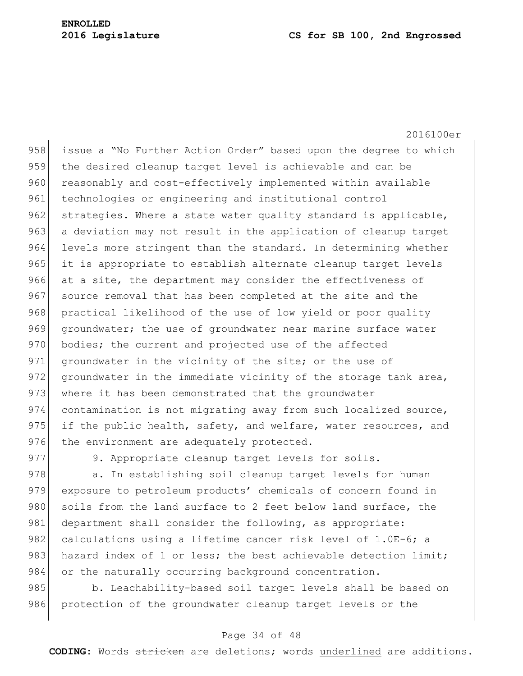2016100er 958 issue a "No Further Action Order" based upon the degree to which 959 the desired cleanup target level is achievable and can be 960 reasonably and cost-effectively implemented within available 961 technologies or engineering and institutional control 962 strategies. Where a state water quality standard is applicable, 963 a deviation may not result in the application of cleanup target 964 levels more stringent than the standard. In determining whether 965 it is appropriate to establish alternate cleanup target levels 966 at a site, the department may consider the effectiveness of 967 source removal that has been completed at the site and the 968 practical likelihood of the use of low yield or poor quality 969 groundwater; the use of groundwater near marine surface water 970 bodies; the current and projected use of the affected 971 groundwater in the vicinity of the site; or the use of 972 groundwater in the immediate vicinity of the storage tank area, 973 where it has been demonstrated that the groundwater 974 contamination is not migrating away from such localized source, 975 if the public health, safety, and welfare, water resources, and 976 the environment are adequately protected.

977 9. Appropriate cleanup target levels for soils.

978 a. In establishing soil cleanup target levels for human 979 exposure to petroleum products' chemicals of concern found in 980 soils from the land surface to 2 feet below land surface, the 981 department shall consider the following, as appropriate: 982 calculations using a lifetime cancer risk level of  $1.0E-6$ ; a 983 hazard index of 1 or less; the best achievable detection limit; 984 or the naturally occurring background concentration.

985 b. Leachability-based soil target levels shall be based on 986 protection of the groundwater cleanup target levels or the

## Page 34 of 48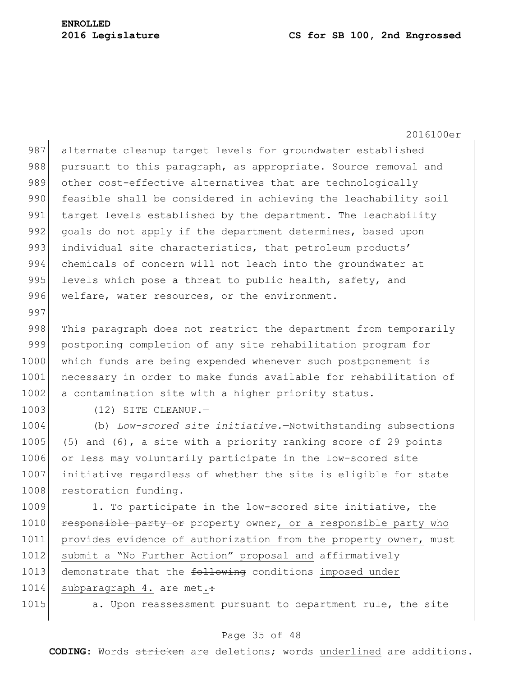2016100er 987 alternate cleanup target levels for groundwater established 988 pursuant to this paragraph, as appropriate. Source removal and 989 other cost-effective alternatives that are technologically 990 feasible shall be considered in achieving the leachability soil 991 target levels established by the department. The leachability 992 goals do not apply if the department determines, based upon 993 individual site characteristics, that petroleum products' 994 chemicals of concern will not leach into the groundwater at 995 levels which pose a threat to public health, safety, and 996 welfare, water resources, or the environment. 997 998 This paragraph does not restrict the department from temporarily 999 postponing completion of any site rehabilitation program for 1000 which funds are being expended whenever such postponement is 1001 necessary in order to make funds available for rehabilitation of 1002 a contamination site with a higher priority status. 1003 (12) SITE CLEANUP. 1004 (b) *Low-scored site initiative.*—Notwithstanding subsections 1005 (5) and  $(6)$ , a site with a priority ranking score of 29 points 1006 or less may voluntarily participate in the low-scored site 1007 initiative regardless of whether the site is eligible for state 1008 restoration funding. 1009 1. To participate in the low-scored site initiative, the 1010 responsible party or property owner, or a responsible party who 1011 provides evidence of authorization from the property owner, must 1012 submit a "No Further Action" proposal and affirmatively 1013 demonstrate that the following conditions imposed under 1014 subparagraph 4. are met.:

1015 **a. Upon reassessment pursuant to department rule, the site** 

#### Page 35 of 48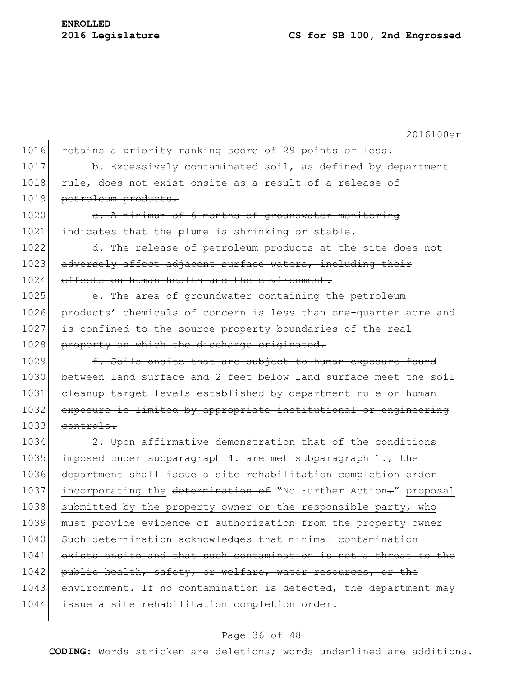| 1016 | retains a priority ranking score of 29 points or less.           |
|------|------------------------------------------------------------------|
| 1017 | b. Excessively contaminated soil, as defined by department       |
| 1018 | rule, does not exist onsite as a result of a release of          |
| 1019 | petroleum products.                                              |
| 1020 | e. A minimum of 6 months of groundwater monitoring               |
| 1021 | indicates that the plume is shrinking or stable.                 |
| 1022 | d. The release of petroleum products at the site does not        |
| 1023 | adversely affect adjacent surface waters, including their        |
| 1024 | effects on human health and the environment.                     |
| 1025 | e. The area of groundwater containing the petroleum              |
| 1026 | products' chemicals of concern is less than one-quarter acre and |
| 1027 | is confined to the source property boundaries of the real        |
| 1028 | property on which the discharge originated.                      |
| 1029 | f. Soils onsite that are subject to human exposure found         |
| 1030 | between land surface and 2 feet below land surface meet the soil |
| 1031 | cleanup target levels established by department rule or human    |
| 1032 | exposure is limited by appropriate institutional or engineering  |
| 1033 | controls.                                                        |
| 1034 | 2. Upon affirmative demonstration that $\theta$ the conditions   |
| 1035 | imposed under subparagraph 4. are met subparagraph 1., the       |
| 1036 | department shall issue a site rehabilitation completion order    |
| 1037 | incorporating the determination of "No Further Action-" proposal |
| 1038 | submitted by the property owner or the responsible party, who    |
| 1039 | must provide evidence of authorization from the property owner   |
| 1040 | Such determination acknowledges that minimal contamination       |
| 1041 | exists onsite and that such contamination is not a threat to the |
| 1042 | public health, safety, or welfare, water resources, or the       |
| 1043 | environment. If no contamination is detected, the department may |
| 1044 | issue a site rehabilitation completion order.                    |
|      |                                                                  |

# Page 36 of 48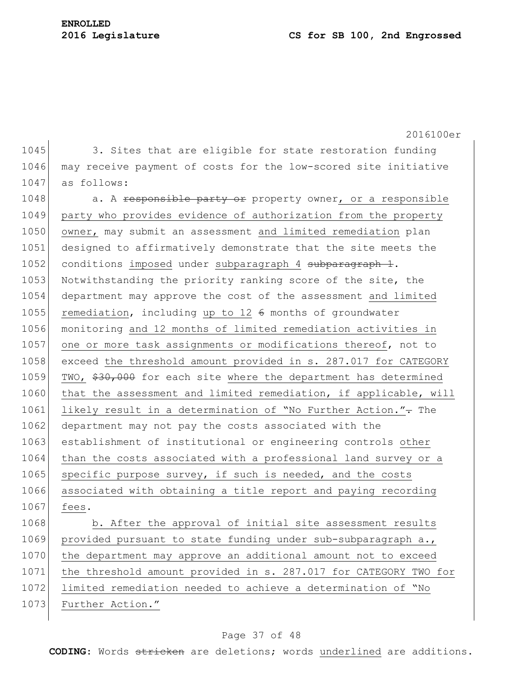1045 3. Sites that are eligible for state restoration funding 1046 may receive payment of costs for the low-scored site initiative 1047 as follows:

1048 a. A responsible party or property owner, or a responsible 1049 party who provides evidence of authorization from the property 1050 owner, may submit an assessment and limited remediation plan 1051 designed to affirmatively demonstrate that the site meets the 1052 conditions imposed under subparagraph 4 subparagraph 1. 1053 Notwithstanding the priority ranking score of the site, the 1054 department may approve the cost of the assessment and limited 1055 remediation, including up to 12  $6$  months of groundwater 1056 monitoring and 12 months of limited remediation activities in 1057 one or more task assignments or modifications thereof, not to 1058 exceed the threshold amount provided in s. 287.017 for CATEGORY 1059 TWO,  $$30,000$  for each site where the department has determined 1060 that the assessment and limited remediation, if applicable, will 1061 likely result in a determination of "No Further Action."- The 1062 department may not pay the costs associated with the 1063 establishment of institutional or engineering controls other 1064 than the costs associated with a professional land survey or a 1065 specific purpose survey, if such is needed, and the costs 1066 associated with obtaining a title report and paying recording 1067 fees.

1068 b. After the approval of initial site assessment results 1069 provided pursuant to state funding under sub-subparagraph a., 1070 the department may approve an additional amount not to exceed 1071 the threshold amount provided in s. 287.017 for CATEGORY TWO for 1072 limited remediation needed to achieve a determination of "No 1073 Further Action."

## Page 37 of 48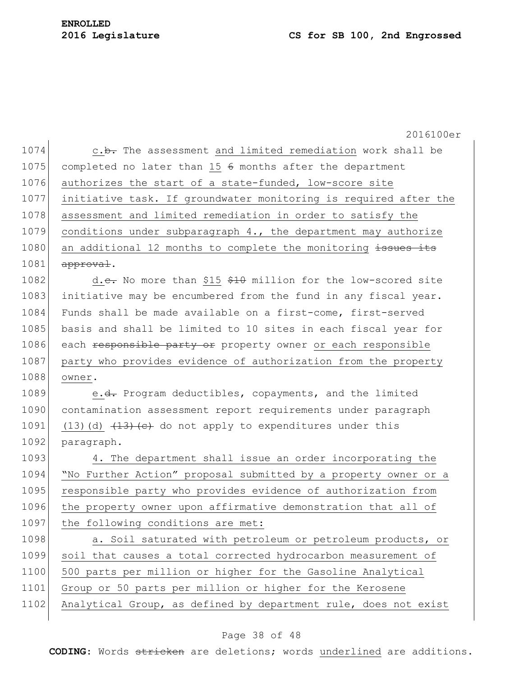2016100er 1074 c.b. The assessment and limited remediation work shall be 1075 completed no later than 15  $\epsilon$  months after the department 1076 authorizes the start of a state-funded, low-score site 1077 initiative task. If groundwater monitoring is required after the 1078 assessment and limited remediation in order to satisfy the 1079 conditions under subparagraph 4., the department may authorize 1080 an additional 12 months to complete the monitoring issues its  $1081$  approval. 1082 d.e. No more than \$15 \$10 million for the low-scored site 1083 initiative may be encumbered from the fund in any fiscal year. 1084 Funds shall be made available on a first-come, first-served 1085 basis and shall be limited to 10 sites in each fiscal year for 1086 each responsible party or property owner or each responsible 1087 party who provides evidence of authorization from the property 1088 owner. 1089 e.<del>d.</del> Program deductibles, copayments, and the limited 1090 contamination assessment report requirements under paragraph 1091 (13)(d)  $(13)(d)$   $(13)(e)$  do not apply to expenditures under this 1092 paragraph. 1093 4. The department shall issue an order incorporating the 1094 "No Further Action" proposal submitted by a property owner or a 1095 responsible party who provides evidence of authorization from 1096 the property owner upon affirmative demonstration that all of 1097 the following conditions are met: 1098 a. Soil saturated with petroleum or petroleum products, or 1099 soil that causes a total corrected hydrocarbon measurement of 1100 500 parts per million or higher for the Gasoline Analytical 1101 Group or 50 parts per million or higher for the Kerosene 1102 Analytical Group, as defined by department rule, does not exist

## Page 38 of 48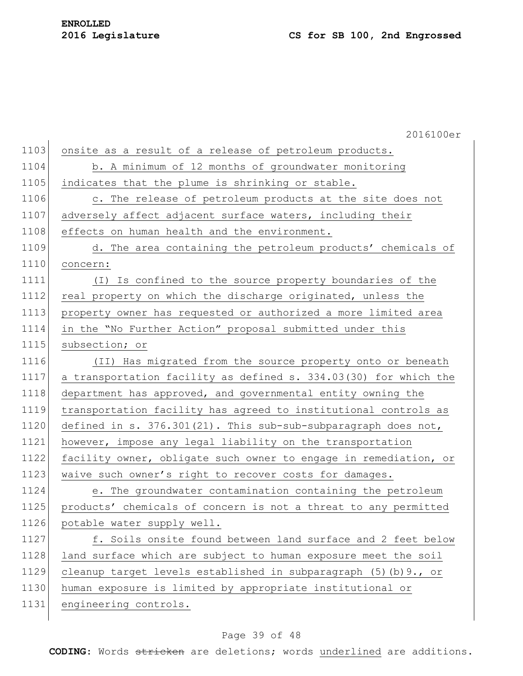# **ENROLLED**

|      | 2016100er                                                        |
|------|------------------------------------------------------------------|
| 1103 | onsite as a result of a release of petroleum products.           |
| 1104 | b. A minimum of 12 months of groundwater monitoring              |
| 1105 | indicates that the plume is shrinking or stable.                 |
| 1106 | c. The release of petroleum products at the site does not        |
| 1107 | adversely affect adjacent surface waters, including their        |
| 1108 | effects on human health and the environment.                     |
| 1109 | d. The area containing the petroleum products' chemicals of      |
| 1110 | concern:                                                         |
| 1111 | (I) Is confined to the source property boundaries of the         |
| 1112 | real property on which the discharge originated, unless the      |
| 1113 | property owner has requested or authorized a more limited area   |
| 1114 | in the "No Further Action" proposal submitted under this         |
| 1115 | subsection; or                                                   |
| 1116 | (II) Has migrated from the source property onto or beneath       |
| 1117 | a transportation facility as defined s. 334.03(30) for which the |
| 1118 | department has approved, and governmental entity owning the      |
| 1119 | transportation facility has agreed to institutional controls as  |
| 1120 | defined in s. 376.301(21). This sub-sub-subparagraph does not,   |
| 1121 | however, impose any legal liability on the transportation        |
| 1122 | facility owner, obligate such owner to engage in remediation, or |
| 1123 | waive such owner's right to recover costs for damages.           |
| 1124 | e. The groundwater contamination containing the petroleum        |
| 1125 | products' chemicals of concern is not a threat to any permitted  |
| 1126 | potable water supply well.                                       |
| 1127 | f. Soils onsite found between land surface and 2 feet below      |
| 1128 | land surface which are subject to human exposure meet the soil   |
| 1129 | cleanup target levels established in subparagraph (5) (b) 9., or |
| 1130 | human exposure is limited by appropriate institutional or        |
| 1131 | engineering controls.                                            |
|      |                                                                  |

# Page 39 of 48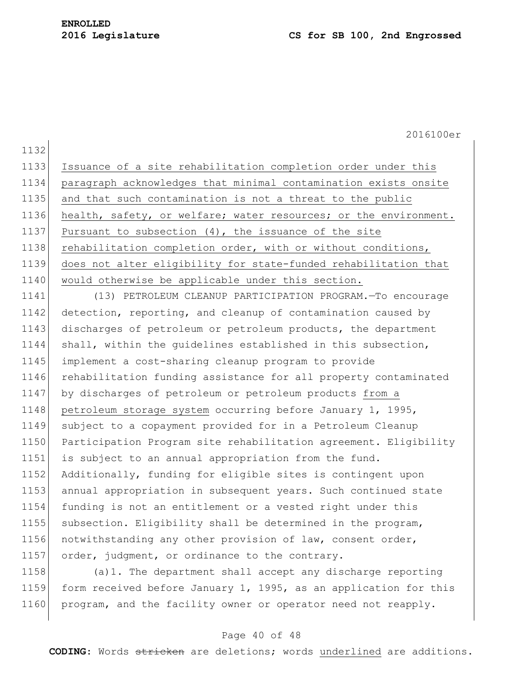2016100er 1132 1133 Issuance of a site rehabilitation completion order under this 1134 paragraph acknowledges that minimal contamination exists onsite 1135 and that such contamination is not a threat to the public 1136 health, safety, or welfare; water resources; or the environment. 1137 Pursuant to subsection  $(4)$ , the issuance of the site 1138 rehabilitation completion order, with or without conditions, 1139 does not alter eligibility for state-funded rehabilitation that 1140 would otherwise be applicable under this section. 1141 (13) PETROLEUM CLEANUP PARTICIPATION PROGRAM.—To encourage 1142 detection, reporting, and cleanup of contamination caused by 1143 discharges of petroleum or petroleum products, the department 1144 shall, within the quidelines established in this subsection, 1145 implement a cost-sharing cleanup program to provide 1146 rehabilitation funding assistance for all property contaminated 1147 by discharges of petroleum or petroleum products from a 1148 petroleum storage system occurring before January 1, 1995, 1149 subject to a copayment provided for in a Petroleum Cleanup 1150 Participation Program site rehabilitation agreement. Eligibility 1151 is subject to an annual appropriation from the fund. 1152 Additionally, funding for eligible sites is contingent upon 1153 annual appropriation in subsequent years. Such continued state 1154 funding is not an entitlement or a vested right under this 1155 subsection. Eligibility shall be determined in the program, 1156 notwithstanding any other provision of law, consent order, 1157 order, judgment, or ordinance to the contrary.

1158 (a)1. The department shall accept any discharge reporting 1159 form received before January 1, 1995, as an application for this 1160 program, and the facility owner or operator need not reapply.

## Page 40 of 48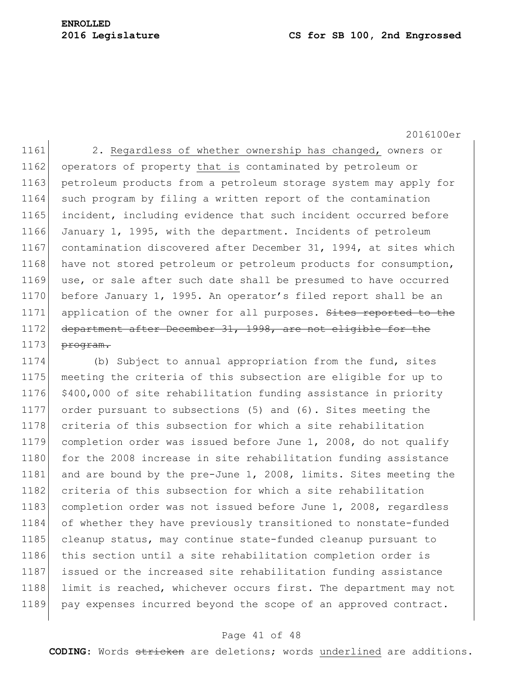# **ENROLLED**

#### **2016 Legislature CS for SB 100, 2nd Engrossed**

2016100er

1161 2. Regardless of whether ownership has changed, owners or 1162 operators of property that is contaminated by petroleum or 1163 petroleum products from a petroleum storage system may apply for 1164 such program by filing a written report of the contamination 1165 incident, including evidence that such incident occurred before 1166 January 1, 1995, with the department. Incidents of petroleum 1167 contamination discovered after December 31, 1994, at sites which 1168 have not stored petroleum or petroleum products for consumption, 1169 use, or sale after such date shall be presumed to have occurred 1170 before January 1, 1995. An operator's filed report shall be an 1171 application of the owner for all purposes. Sites reported to the 1172 department after December 31, 1998, are not eligible for the  $1173$  program.

1174 (b) Subject to annual appropriation from the fund, sites 1175 meeting the criteria of this subsection are eligible for up to 1176 \$400,000 of site rehabilitation funding assistance in priority 1177 order pursuant to subsections (5) and (6). Sites meeting the 1178 criteria of this subsection for which a site rehabilitation 1179 completion order was issued before June 1, 2008, do not qualify 1180 for the 2008 increase in site rehabilitation funding assistance 1181 and are bound by the pre-June 1, 2008, limits. Sites meeting the 1182 criteria of this subsection for which a site rehabilitation 1183 completion order was not issued before June 1, 2008, regardless 1184 of whether they have previously transitioned to nonstate-funded 1185 cleanup status, may continue state-funded cleanup pursuant to 1186 this section until a site rehabilitation completion order is 1187 issued or the increased site rehabilitation funding assistance 1188 limit is reached, whichever occurs first. The department may not 1189 pay expenses incurred beyond the scope of an approved contract.

## Page 41 of 48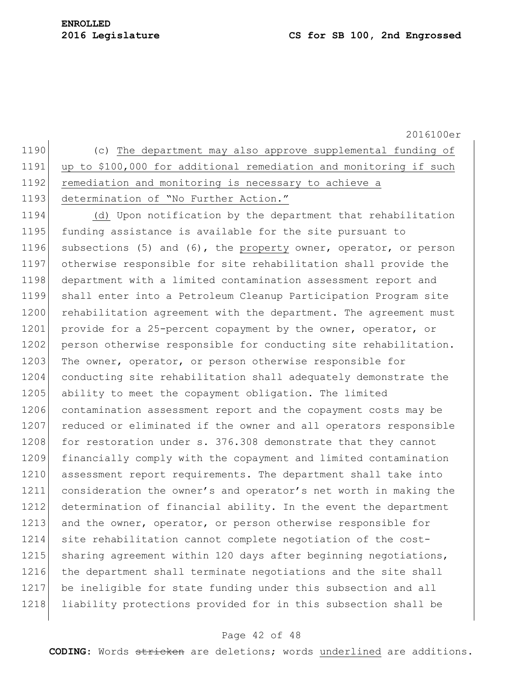1190 (c) The department may also approve supplemental funding of 1191 up to \$100,000 for additional remediation and monitoring if such 1192 remediation and monitoring is necessary to achieve a 1193 determination of "No Further Action."

1194 (d) Upon notification by the department that rehabilitation 1195 funding assistance is available for the site pursuant to 1196 subsections (5) and (6), the property owner, operator, or person 1197 otherwise responsible for site rehabilitation shall provide the 1198 department with a limited contamination assessment report and 1199 shall enter into a Petroleum Cleanup Participation Program site 1200 rehabilitation agreement with the department. The agreement must 1201 provide for a 25-percent copayment by the owner, operator, or 1202 person otherwise responsible for conducting site rehabilitation. 1203 The owner, operator, or person otherwise responsible for 1204 conducting site rehabilitation shall adequately demonstrate the 1205 ability to meet the copayment obligation. The limited 1206 contamination assessment report and the copayment costs may be 1207 reduced or eliminated if the owner and all operators responsible 1208 for restoration under s. 376.308 demonstrate that they cannot 1209 financially comply with the copayment and limited contamination 1210 assessment report requirements. The department shall take into 1211 consideration the owner's and operator's net worth in making the 1212 determination of financial ability. In the event the department 1213 and the owner, operator, or person otherwise responsible for 1214 site rehabilitation cannot complete negotiation of the cost-1215 sharing agreement within 120 days after beginning negotiations, 1216 the department shall terminate negotiations and the site shall 1217 be ineligible for state funding under this subsection and all 1218 liability protections provided for in this subsection shall be

## Page 42 of 48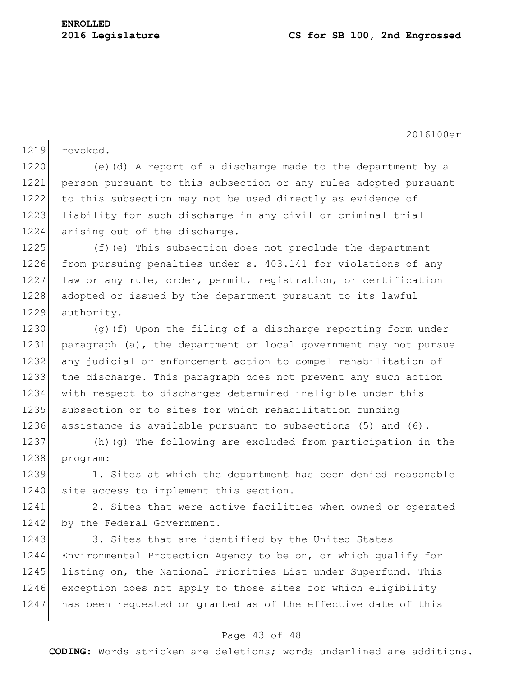1219 revoked.

1220 (e) $\left(\frac{d}{d}\right)$  A report of a discharge made to the department by a 1221 person pursuant to this subsection or any rules adopted pursuant 1222 to this subsection may not be used directly as evidence of 1223 liability for such discharge in any civil or criminal trial 1224 arising out of the discharge.

1225  $(f)$  (f)  $(e)$  This subsection does not preclude the department 1226 from pursuing penalties under s. 403.141 for violations of any 1227 law or any rule, order, permit, registration, or certification 1228 adopted or issued by the department pursuant to its lawful 1229 authority.

1230 (g) $(f)$  Upon the filing of a discharge reporting form under 1231 paragraph (a), the department or local government may not pursue 1232 any judicial or enforcement action to compel rehabilitation of 1233 the discharge. This paragraph does not prevent any such action 1234 with respect to discharges determined ineligible under this 1235 subsection or to sites for which rehabilitation funding 1236 assistance is available pursuant to subsections (5) and (6).

1237 (h) $\left( \theta \right)$  The following are excluded from participation in the 1238 program:

1239 1. Sites at which the department has been denied reasonable 1240 site access to implement this section.

1241 2. Sites that were active facilities when owned or operated 1242 by the Federal Government.

1243 3. Sites that are identified by the United States 1244 Environmental Protection Agency to be on, or which qualify for 1245 listing on, the National Priorities List under Superfund. This 1246 exception does not apply to those sites for which eligibility 1247 has been requested or granted as of the effective date of this

## Page 43 of 48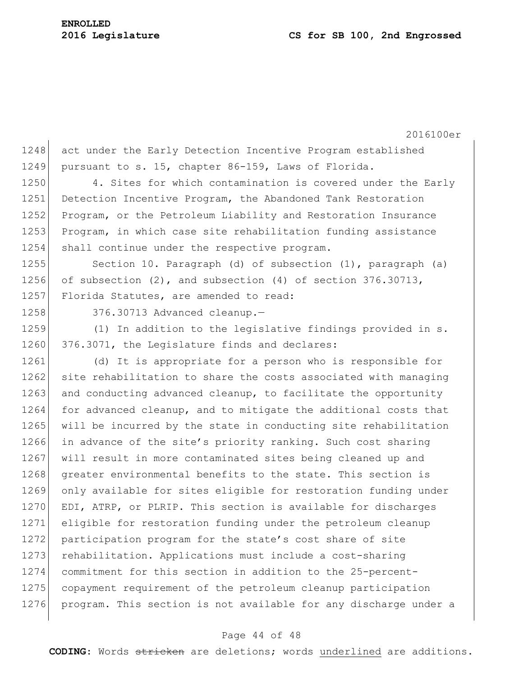1248 act under the Early Detection Incentive Program established 1249 pursuant to s. 15, chapter 86-159, Laws of Florida. 1250 4. Sites for which contamination is covered under the Early 1251 Detection Incentive Program, the Abandoned Tank Restoration 1252 Program, or the Petroleum Liability and Restoration Insurance 1253 Program, in which case site rehabilitation funding assistance 1254 shall continue under the respective program. 1255 Section 10. Paragraph (d) of subsection (1), paragraph (a) 1256 of subsection  $(2)$ , and subsection  $(4)$  of section 376.30713, 1257 Florida Statutes, are amended to read: 1258 376.30713 Advanced cleanup. 1259 (1) In addition to the legislative findings provided in s. 1260 376.3071, the Legislature finds and declares: 1261 (d) It is appropriate for a person who is responsible for 1262 site rehabilitation to share the costs associated with managing 1263 and conducting advanced cleanup, to facilitate the opportunity 1264 for advanced cleanup, and to mitigate the additional costs that 1265 will be incurred by the state in conducting site rehabilitation 1266 in advance of the site's priority ranking. Such cost sharing 1267 will result in more contaminated sites being cleaned up and 1268 greater environmental benefits to the state. This section is 1269 only available for sites eligible for restoration funding under 1270 EDI, ATRP, or PLRIP. This section is available for discharges 1271 eligible for restoration funding under the petroleum cleanup 1272 participation program for the state's cost share of site 1273 rehabilitation. Applications must include a cost-sharing 1274 commitment for this section in addition to the 25-percent-1275 copayment requirement of the petroleum cleanup participation 1276 program. This section is not available for any discharge under a

#### Page 44 of 48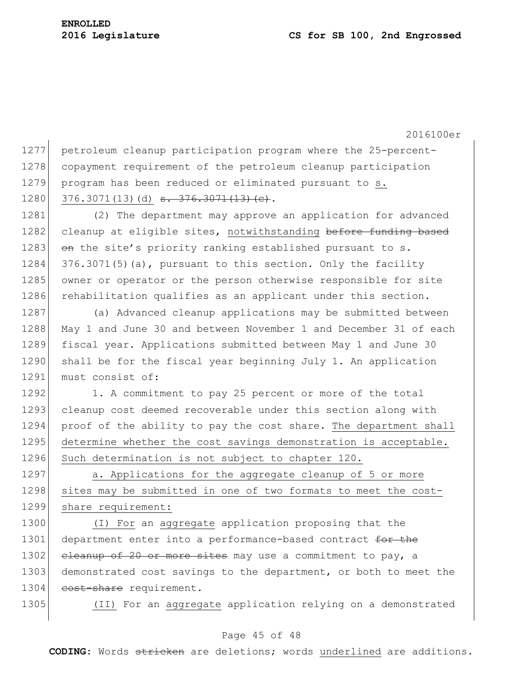2016100er 1277 petroleum cleanup participation program where the 25-percent-1278 copayment requirement of the petroleum cleanup participation 1279 program has been reduced or eliminated pursuant to s. 1280 376.3071(13)(d)  $\overline{3, 376.3071(13)}$  (c). 1281 (2) The department may approve an application for advanced 1282 cleanup at eligible sites, notwithstanding before funding based 1283  $\theta$  on the site's priority ranking established pursuant to s. 1284  $376.3071(5)$  (a), pursuant to this section. Only the facility 1285 owner or operator or the person otherwise responsible for site 1286 rehabilitation qualifies as an applicant under this section. 1287 (a) Advanced cleanup applications may be submitted between 1288 May 1 and June 30 and between November 1 and December 31 of each 1289 fiscal year. Applications submitted between May 1 and June 30 1290 shall be for the fiscal year beginning July 1. An application 1291 must consist of: 1292 1. A commitment to pay 25 percent or more of the total 1293 cleanup cost deemed recoverable under this section along with 1294 proof of the ability to pay the cost share. The department shall 1295 determine whether the cost savings demonstration is acceptable. 1296 Such determination is not subject to chapter 120. 1297 a. Applications for the aggregate cleanup of 5 or more 1298 sites may be submitted in one of two formats to meet the cost-1299 share requirement: 1300 (I) For an aggregate application proposing that the 1301 department enter into a performance-based contract for the

1302 cleanup of 20 or more sites may use a commitment to pay, a 1303 demonstrated cost savings to the department, or both to meet the 1304 cost-share requirement.

1305 (II) For an aggregate application relying on a demonstrated

## Page 45 of 48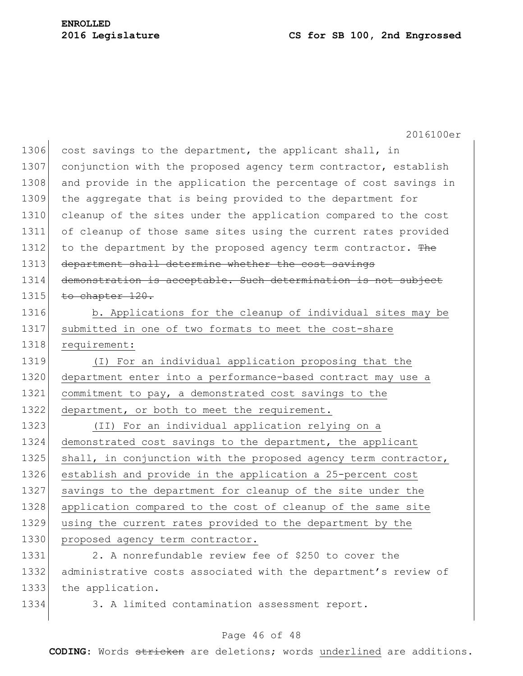|      | 2016100er                                                        |
|------|------------------------------------------------------------------|
| 1306 | cost savings to the department, the applicant shall, in          |
| 1307 | conjunction with the proposed agency term contractor, establish  |
| 1308 | and provide in the application the percentage of cost savings in |
| 1309 | the aggregate that is being provided to the department for       |
| 1310 | cleanup of the sites under the application compared to the cost  |
| 1311 | of cleanup of those same sites using the current rates provided  |
| 1312 | to the department by the proposed agency term contractor. The    |
| 1313 | department shall determine whether the cost savings              |
| 1314 | demonstration is acceptable. Such determination is not subject   |
| 1315 | to chapter 120.                                                  |
| 1316 | b. Applications for the cleanup of individual sites may be       |
| 1317 | submitted in one of two formats to meet the cost-share           |
| 1318 | requirement:                                                     |
| 1319 | (I) For an individual application proposing that the             |
| 1320 | department enter into a performance-based contract may use a     |
| 1321 | commitment to pay, a demonstrated cost savings to the            |
| 1322 | department, or both to meet the requirement.                     |
| 1323 | (II) For an individual application relying on a                  |
| 1324 | demonstrated cost savings to the department, the applicant       |
| 1325 | shall, in conjunction with the proposed agency term contractor,  |
| 1326 | establish and provide in the application a 25-percent cost       |
| 1327 | savings to the department for cleanup of the site under the      |
| 1328 | application compared to the cost of cleanup of the same site     |
| 1329 | using the current rates provided to the department by the        |
| 1330 | proposed agency term contractor.                                 |
| 1331 | 2. A nonrefundable review fee of \$250 to cover the              |
| 1332 | administrative costs associated with the department's review of  |
| 1333 | the application.                                                 |
| 1334 | 3. A limited contamination assessment report.                    |

## Page 46 of 48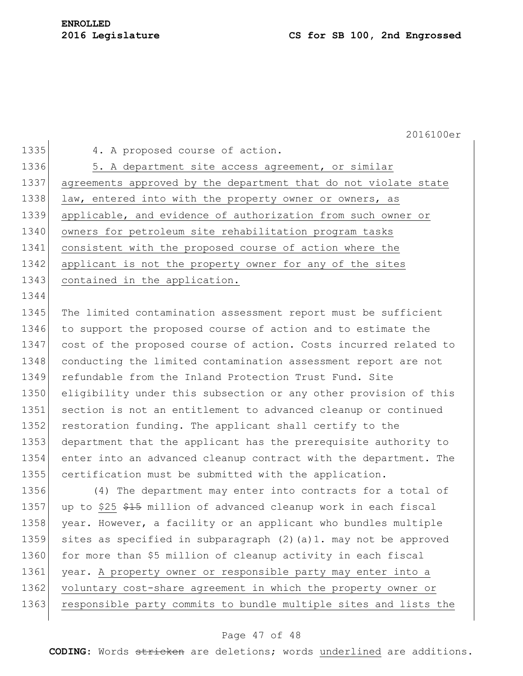1344

1335 4. A proposed course of action.

1336 5. A department site access agreement, or similar 1337 agreements approved by the department that do not violate state 1338 law, entered into with the property owner or owners, as 1339 applicable, and evidence of authorization from such owner or 1340 owners for petroleum site rehabilitation program tasks 1341 consistent with the proposed course of action where the 1342 applicant is not the property owner for any of the sites 1343 contained in the application.

1345 The limited contamination assessment report must be sufficient 1346 to support the proposed course of action and to estimate the 1347 cost of the proposed course of action. Costs incurred related to 1348 conducting the limited contamination assessment report are not 1349 refundable from the Inland Protection Trust Fund. Site 1350 eligibility under this subsection or any other provision of this 1351 section is not an entitlement to advanced cleanup or continued 1352 restoration funding. The applicant shall certify to the 1353 department that the applicant has the prerequisite authority to 1354 enter into an advanced cleanup contract with the department. The 1355 certification must be submitted with the application.

1356 (4) The department may enter into contracts for a total of 1357 up to \$25 \$15 million of advanced cleanup work in each fiscal 1358 year. However, a facility or an applicant who bundles multiple 1359 sites as specified in subparagraph (2)(a)1. may not be approved 1360 for more than \$5 million of cleanup activity in each fiscal 1361 year. A property owner or responsible party may enter into a 1362 voluntary cost-share agreement in which the property owner or 1363 responsible party commits to bundle multiple sites and lists the

## Page 47 of 48